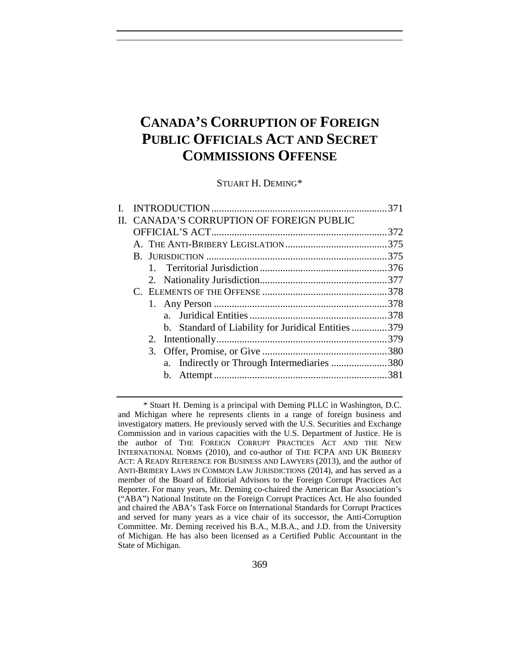# **CANADA'S CORRUPTION OF FOREIGN PUBLIC OFFICIALS ACT AND SECRET COMMISSIONS OFFENSE**

## STUART H. DEMING[\\*](#page-0-0)

| Н. |  |             | <b>CANADA'S CORRUPTION OF FOREIGN PUBLIC</b>        |  |
|----|--|-------------|-----------------------------------------------------|--|
|    |  |             |                                                     |  |
|    |  |             |                                                     |  |
|    |  |             |                                                     |  |
|    |  |             |                                                     |  |
|    |  |             |                                                     |  |
|    |  |             |                                                     |  |
|    |  |             |                                                     |  |
|    |  | $a_{\cdot}$ |                                                     |  |
|    |  |             | b. Standard of Liability for Juridical Entities 379 |  |
|    |  |             |                                                     |  |
|    |  |             |                                                     |  |
|    |  |             | a. Indirectly or Through Intermediaries 380         |  |
|    |  | b.          |                                                     |  |
|    |  |             |                                                     |  |

<span id="page-0-0"></span>\* Stuart H. Deming is a principal with Deming PLLC in Washington, D.C. and Michigan where he represents clients in a range of foreign business and investigatory matters. He previously served with the U.S. Securities and Exchange Commission and in various capacities with the U.S. Department of Justice. He is the author of THE FOREIGN CORRUPT PRACTICES ACT AND THE NEW INTERNATIONAL NORMS (2010), and co-author of THE FCPA AND UK BRIBERY ACT: A READY REFERENCE FOR BUSINESS AND LAWYERS (2013), and the author of ANTI-BRIBERY LAWS IN COMMON LAW JURISDICTIONS (2014), and has served as a member of the Board of Editorial Advisors to the Foreign Corrupt Practices Act Reporter. For many years, Mr. Deming co-chaired the American Bar Association's ("ABA") National Institute on the Foreign Corrupt Practices Act. He also founded and chaired the ABA's Task Force on International Standards for Corrupt Practices and served for many years as a vice chair of its successor, the Anti-Corruption Committee. Mr. Deming received his B.A., M.B.A., and J.D. from the University of Michigan. He has also been licensed as a Certified Public Accountant in the State of Michigan.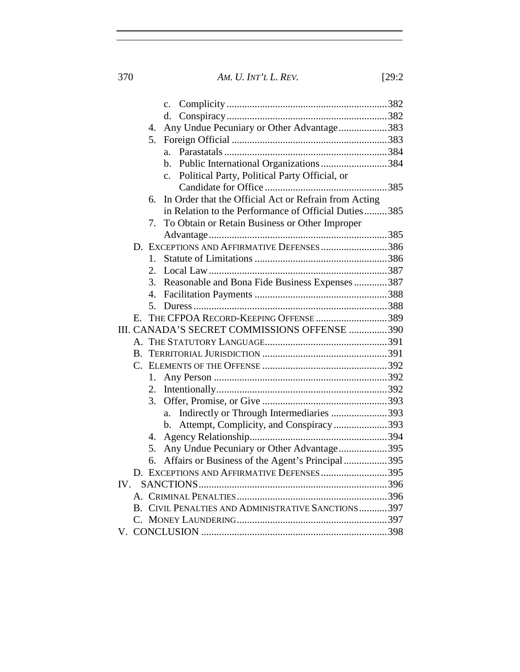370 *AM. U. INT'L L. REV.* [29:2

|    | $\mathbf{c}$ .                                                  |  |
|----|-----------------------------------------------------------------|--|
|    | d.                                                              |  |
| 4. | Any Undue Pecuniary or Other Advantage383                       |  |
| 5. |                                                                 |  |
|    | a <sub>z</sub>                                                  |  |
|    | b. Public International Organizations 384                       |  |
|    | Political Party, Political Party Official, or<br>$\mathbf{c}$ . |  |
|    |                                                                 |  |
| б. | In Order that the Official Act or Refrain from Acting           |  |
|    | in Relation to the Performance of Official Duties385            |  |
| 7. | To Obtain or Retain Business or Other Improper                  |  |
|    |                                                                 |  |
|    | D. EXCEPTIONS AND AFFIRMATIVE DEFENSES386                       |  |
| 1. |                                                                 |  |
| 2. |                                                                 |  |
| 3. | Reasonable and Bona Fide Business Expenses 387                  |  |
|    |                                                                 |  |
|    |                                                                 |  |
|    | E. THE CFPOA RECORD-KEEPING OFFENSE 389                         |  |
|    | III. CANADA'S SECRET COMMISSIONS OFFENSE 390                    |  |
|    |                                                                 |  |
|    |                                                                 |  |
|    |                                                                 |  |
| 1. |                                                                 |  |
| 2. |                                                                 |  |
| 3. |                                                                 |  |
|    | Indirectly or Through Intermediaries 393<br>a.                  |  |
|    | Attempt, Complicity, and Conspiracy 393<br>b.                   |  |
| 4. |                                                                 |  |
| 5. | Any Undue Pecuniary or Other Advantage395                       |  |
| 6. | Affairs or Business of the Agent's Principal 395                |  |
|    | D. EXCEPTIONS AND AFFIRMATIVE DEFENSES395                       |  |
|    |                                                                 |  |
|    |                                                                 |  |
|    | B. CIVIL PENALTIES AND ADMINISTRATIVE SANCTIONS397              |  |
|    |                                                                 |  |
|    |                                                                 |  |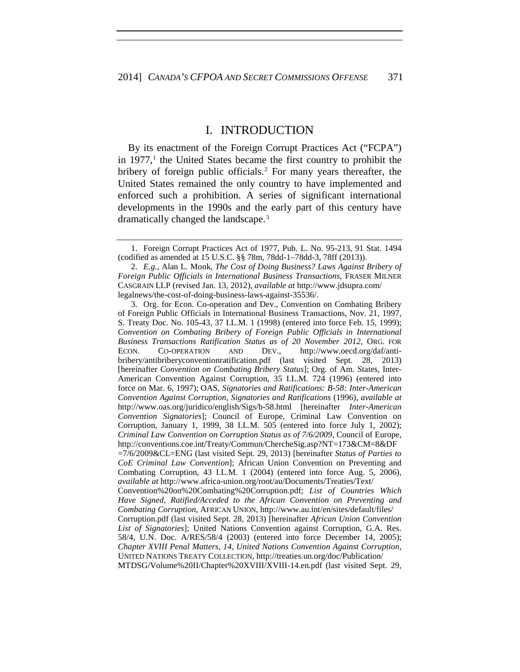## <span id="page-2-3"></span>I. INTRODUCTION

By its enactment of the Foreign Corrupt Practices Act ("FCPA") in  $1977<sup>1</sup>$  $1977<sup>1</sup>$ , the United States became the first country to prohibit the bribery of foreign public officials.[2](#page-2-1) For many years thereafter, the United States remained the only country to have implemented and enforced such a prohibition. A series of significant international developments in the 1990s and the early part of this century have dramatically changed the landscape.[3](#page-2-2)

<span id="page-2-0"></span><sup>1.</sup> Foreign Corrupt Practices Act of 1977, Pub. L. No. 95-213, 91 Stat. 1494 (codified as amended at 15 U.S.C. §§ 78m, 78dd-1–78dd-3, 78ff (2013)).

<span id="page-2-1"></span><sup>2.</sup> *E.g.*, Alan L. Monk, *The Cost of Doing Business? Laws Against Bribery of Foreign Public Officials in International Business Transactions*, FRASER MILNER CASGRAIN LLP (revised Jan. 13, 2012), *available at* http://www.jdsupra.com/ legalnews/the-cost-of-doing-business-laws-against-35536/.

<span id="page-2-2"></span><sup>3.</sup> Org. for Econ. Co-operation and Dev., Convention on Combating Bribery of Foreign Public Officials in International Business Transactions, Nov. 21, 1997, S. Treaty Doc. No. 105-43, 37 I.L.M. 1 (1998) (entered into force Feb. 15, 1999); *Convention on Combating Bribery of Foreign Public Officials in International Business Transactions Ratification Status as of 20 November 2012*, ORG. FOR ECON. CO-OPERATION AND DEV., http://www.oecd.org/daf/antibribery/antibriberyconventionratification.pdf (last visited Sept. 28, 2013) [hereinafter *Convention on Combating Bribery Status*]; Org. of Am. States, Inter-American Convention Against Corruption, 35 I.L.M. 724 (1996) (entered into force on Mar. 6, 1997); OAS, *Signatories and Ratifications: B-58: Inter-American Convention Against Corruption, Signatories and Ratifications* (1996), *available at* http://www.oas.org/juridico/english/Sigs/b-58.html [hereinafter *Inter-American Convention Signatories*]; Council of Europe, Criminal Law Convention on Corruption, January 1, 1999, 38 I.L.M. 505 (entered into force July 1, 2002); *Criminal Law Convention on Corruption Status as of 7/6/2009*, Council of Europe, http://conventions.coe.int/Treaty/Commun/ChercheSig.asp?NT=173&CM=8&DF =7/6/2009&CL=ENG (last visited Sept. 29, 2013) [hereinafter *Status of Parties to CoE Criminal Law Convention*]; African Union Convention on Preventing and Combating Corruption, 43 I.L.M. 1 (2004) (entered into force Aug. 5, 2006), *available at* http://www.africa-union.org/root/au/Documents/Treaties/Text/ Convention%20on%20Combating%20Corruption.pdf; *List of Countries Which Have Signed, Ratified/Acceded to the African Convention on Preventing and Combating Corruption*, AFRICAN UNION, http://www.au.int/en/sites/default/files/ Corruption.pdf (last visited Sept. 28, 2013) [hereinafter *African Union Convention List of Signatories*]; United Nations Convention against Corruption, G.A. Res. 58/4, U.N. Doc. A/RES/58/4 (2003) (entered into force December 14, 2005); *Chapter XVIII Penal Matters, 14, United Nations Convention Against Corruption*, UNITED NATIONS TREATY COLLECTION, http://treaties.un.org/doc/Publication/ MTDSG/Volume%20II/Chapter%20XVIII/XVIII-14.en.pdf (last visited Sept. 29,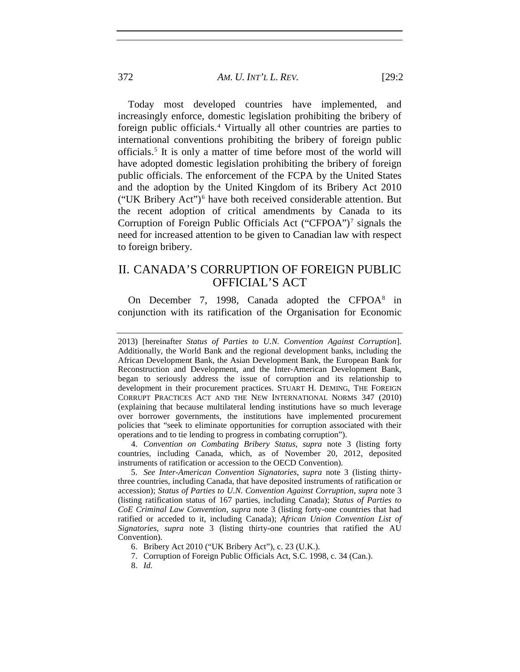372 *AM. U. INT'L L. REV.* [29:2

Today most developed countries have implemented, and increasingly enforce, domestic legislation prohibiting the bribery of foreign public officials.[4](#page-3-0) Virtually all other countries are parties to international conventions prohibiting the bribery of foreign public officials.[5](#page-3-1) It is only a matter of time before most of the world will have adopted domestic legislation prohibiting the bribery of foreign public officials. The enforcement of the FCPA by the United States and the adoption by the United Kingdom of its Bribery Act 2010 ("UK Bribery Act")[6](#page-3-2) have both received considerable attention. But the recent adoption of critical amendments by Canada to its Corruption of Foreign Public Officials Act ("CFPOA")[7](#page-3-3) signals the need for increased attention to be given to Canadian law with respect to foreign bribery.

## II. CANADA'S CORRUPTION OF FOREIGN PUBLIC OFFICIAL'S ACT

On December 7, 199[8](#page-3-4), Canada adopted the CFPO $A^8$  in conjunction with its ratification of the Organisation for Economic

<span id="page-3-0"></span>4. *Convention on Combating Bribery Status*, *supra* note [3](#page-2-3) (listing forty countries, including Canada, which, as of November 20, 2012, deposited instruments of ratification or accession to the OECD Convention).

<span id="page-3-1"></span>5. *See Inter-American Convention Signatories*, *supra* note [3](#page-2-3) (listing thirtythree countries, including Canada, that have deposited instruments of ratification or accession); *Status of Parties to U.N. Convention Against Corruption*, *supra* note [3](#page-2-3) (listing ratification status of 167 parties, including Canada); *Status of Parties to CoE Criminal Law Convention*, *supra* note [3](#page-2-3) (listing forty-one countries that had ratified or acceded to it, including Canada); *African Union Convention List of Signatories*, *supra* note [3](#page-2-3) (listing thirty-one countries that ratified the AU Convention).

<span id="page-3-2"></span>6. Bribery Act 2010 ("UK Bribery Act"), c. 23 (U.K.).

7. Corruption of Foreign Public Officials Act, S.C. 1998, c. 34 (Can.).

<span id="page-3-4"></span><span id="page-3-3"></span>8. *Id.*

<sup>2013) [</sup>hereinafter *Status of Parties to U.N. Convention Against Corruption*]. Additionally, the World Bank and the regional development banks, including the African Development Bank, the Asian Development Bank, the European Bank for Reconstruction and Development, and the Inter-American Development Bank, began to seriously address the issue of corruption and its relationship to development in their procurement practices. STUART H. DEMING, THE FOREIGN CORRUPT PRACTICES ACT AND THE NEW INTERNATIONAL NORMS 347 (2010) (explaining that because multilateral lending institutions have so much leverage over borrower governments, the institutions have implemented procurement policies that "seek to eliminate opportunities for corruption associated with their operations and to tie lending to progress in combating corruption").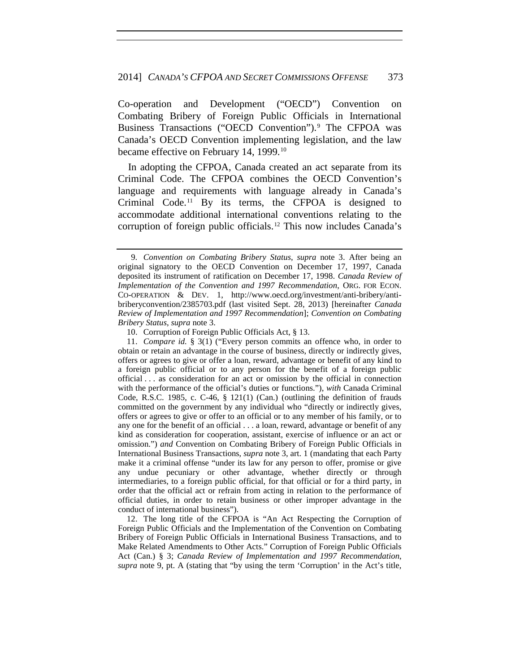<span id="page-4-0"></span>Co-operation and Development ("OECD") Convention on Combating Bribery of Foreign Public Officials in International Business Transactions ("OECD Convention").<sup>[9](#page-4-1)</sup> The CFPOA was Canada's OECD Convention implementing legislation, and the law became effective on February 14, 1999.<sup>[10](#page-4-2)</sup>

In adopting the CFPOA, Canada created an act separate from its Criminal Code. The CFPOA combines the OECD Convention's language and requirements with language already in Canada's Criminal Code.[11](#page-4-3) By its terms, the CFPOA is designed to accommodate additional international conventions relating to the corruption of foreign public officials.[12](#page-4-4) This now includes Canada's

<span id="page-4-1"></span><sup>9</sup>*. Convention on Combating Bribery Status*, *supra* note [3.](#page-2-3) After being an original signatory to the OECD Convention on December 17, 1997, Canada deposited its instrument of ratification on December 17, 1998. *Canada Review of Implementation of the Convention and 1997 Recommendation*, ORG. FOR ECON. CO-OPERATION & DEV. 1, http://www.oecd.org/investment/anti-bribery/antibriberyconvention/2385703.pdf (last visited Sept. 28, 2013) [hereinafter *Canada Review of Implementation and 1997 Recommendation*]; *Convention on Combating Bribery Status*, *supra* note [3.](#page-2-3)

<sup>10.</sup> Corruption of Foreign Public Officials Act, § 13.

<span id="page-4-3"></span><span id="page-4-2"></span><sup>11.</sup> *Compare id.* § 3(1) ("Every person commits an offence who, in order to obtain or retain an advantage in the course of business, directly or indirectly gives, offers or agrees to give or offer a loan, reward, advantage or benefit of any kind to a foreign public official or to any person for the benefit of a foreign public official . . . as consideration for an act or omission by the official in connection with the performance of the official's duties or functions."), *with* Canada Criminal Code, R.S.C. 1985, c. C-46,  $\S$  121(1) (Can.) (outlining the definition of frauds committed on the government by any individual who "directly or indirectly gives, offers or agrees to give or offer to an official or to any member of his family, or to any one for the benefit of an official . . . a loan, reward, advantage or benefit of any kind as consideration for cooperation, assistant, exercise of influence or an act or omission.") *and* Convention on Combating Bribery of Foreign Public Officials in International Business Transactions, *supra* note [3,](#page-2-3) art. 1 (mandating that each Party make it a criminal offense "under its law for any person to offer, promise or give any undue pecuniary or other advantage, whether directly or through intermediaries, to a foreign public official, for that official or for a third party, in order that the official act or refrain from acting in relation to the performance of official duties, in order to retain business or other improper advantage in the conduct of international business").

<span id="page-4-4"></span><sup>12.</sup> The long title of the CFPOA is "An Act Respecting the Corruption of Foreign Public Officials and the Implementation of the Convention on Combating Bribery of Foreign Public Officials in International Business Transactions, and to Make Related Amendments to Other Acts." Corruption of Foreign Public Officials Act (Can.) § 3; *Canada Review of Implementation and 1997 Recommendation*, *supra* note [9,](#page-4-0) pt. A (stating that "by using the term 'Corruption' in the Act's title,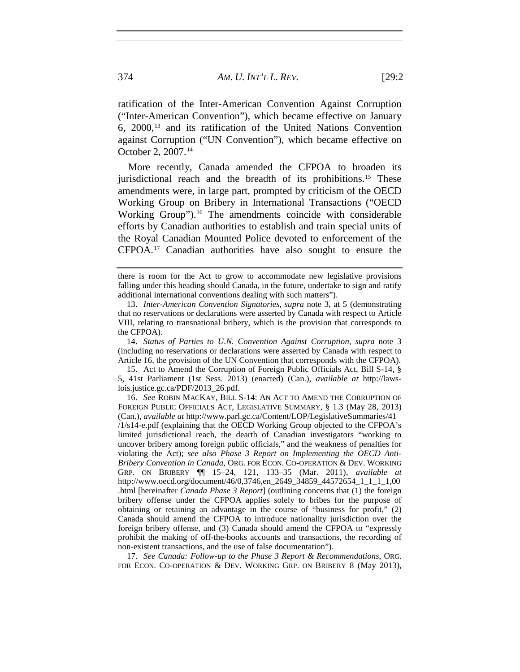ratification of the Inter-American Convention Against Corruption ("Inter-American Convention"), which became effective on January 6, 2000,[13](#page-5-0) and its ratification of the United Nations Convention against Corruption ("UN Convention"), which became effective on October 2, 2007.[14](#page-5-1)

<span id="page-5-5"></span>More recently, Canada amended the CFPOA to broaden its jurisdictional reach and the breadth of its prohibitions.[15](#page-5-2) These amendments were, in large part, prompted by criticism of the OECD Working Group on Bribery in International Transactions ("OECD Working Group").<sup>[16](#page-5-3)</sup> The amendments coincide with considerable efforts by Canadian authorities to establish and train special units of the Royal Canadian Mounted Police devoted to enforcement of the CFPOA.[17](#page-5-4) Canadian authorities have also sought to ensure the

<span id="page-5-1"></span>14. *Status of Parties to U.N. Convention Against Corruption*, *supra* note [3](#page-2-3) (including no reservations or declarations were asserted by Canada with respect to Article 16, the provision of the UN Convention that corresponds with the CFPOA).

<span id="page-5-2"></span>15. Act to Amend the Corruption of Foreign Public Officials Act, Bill S-14, § 5, 41st Parliament (1st Sess. 2013) (enacted) (Can.), *available at* http://lawslois.justice.gc.ca/PDF/2013\_26.pdf.

<span id="page-5-3"></span>16. *See* ROBIN MACKAY, BILL S-14: AN ACT TO AMEND THE CORRUPTION OF FOREIGN PUBLIC OFFICIALS ACT, LEGISLATIVE SUMMARY, § 1.3 (May 28, 2013) (Can.), *available at* http://www.parl.gc.ca/Content/LOP/LegislativeSummaries/41 /1/s14-e.pdf (explaining that the OECD Working Group objected to the CFPOA's limited jurisdictional reach, the dearth of Canadian investigators "working to uncover bribery among foreign public officials," and the weakness of penalties for violating the Act); *see also Phase 3 Report on Implementing the OECD Anti-Bribery Convention in Canada*, ORG. FOR ECON. CO-OPERATION & DEV. WORKING GRP. ON BRIBERY ¶¶ 15–24, 121, 133–35 (Mar. 2011), *available at* http://www.oecd.org/document/46/0,3746,en\_2649\_34859\_44572654\_1\_1\_1\_1,00 .html [hereinafter *Canada Phase 3 Report*] (outlining concerns that (1) the foreign bribery offense under the CFPOA applies solely to bribes for the purpose of obtaining or retaining an advantage in the course of "business for profit," (2) Canada should amend the CFPOA to introduce nationality jurisdiction over the foreign bribery offense, and (3) Canada should amend the CFPOA to "expressly prohibit the making of off-the-books accounts and transactions, the recording of non-existent transactions, and the use of false documentation").

<span id="page-5-4"></span>17. *See Canada: Follow-up to the Phase 3 Report & Recommendations*, ORG. FOR ECON. CO-OPERATION & DEV. WORKING GRP. ON BRIBERY 8 (May 2013),

<span id="page-5-6"></span>there is room for the Act to grow to accommodate new legislative provisions falling under this heading should Canada, in the future, undertake to sign and ratify additional international conventions dealing with such matters").

<span id="page-5-0"></span><sup>13.</sup> *Inter-American Convention Signatories*, *supra* note [3,](#page-2-3) at 5 (demonstrating that no reservations or declarations were asserted by Canada with respect to Article VIII, relating to transnational bribery, which is the provision that corresponds to the CFPOA).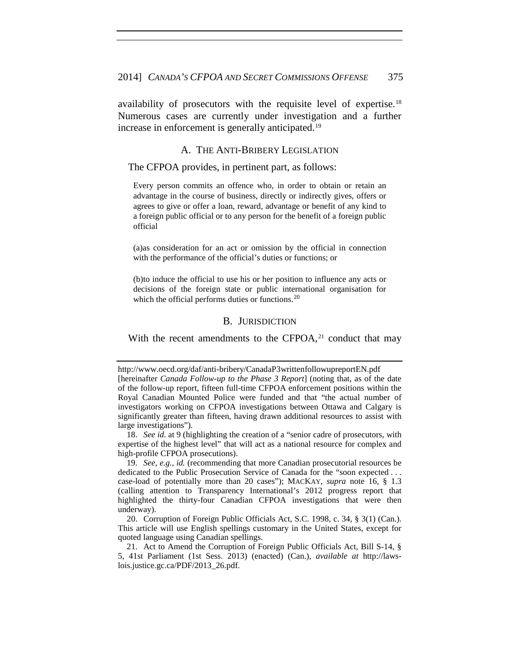availability of prosecutors with the requisite level of expertise.[18](#page-6-0) Numerous cases are currently under investigation and a further increase in enforcement is generally anticipated.<sup>[19](#page-6-1)</sup>

#### A. THE ANTI-BRIBERY LEGISLATION

#### The CFPOA provides, in pertinent part, as follows:

Every person commits an offence who, in order to obtain or retain an advantage in the course of business, directly or indirectly gives, offers or agrees to give or offer a loan, reward, advantage or benefit of any kind to a foreign public official or to any person for the benefit of a foreign public official

(a)as consideration for an act or omission by the official in connection with the performance of the official's duties or functions; or

(b)to induce the official to use his or her position to influence any acts or decisions of the foreign state or public international organisation for which the official performs duties or functions. $^{20}$  $^{20}$  $^{20}$ 

## B. JURISDICTION

With the recent amendments to the CFPOA, $21$  conduct that may

<span id="page-6-1"></span>19. *See, e.g.*, *id.* (recommending that more Canadian prosecutorial resources be dedicated to the Public Prosecution Service of Canada for the "soon expected . . . case-load of potentially more than 20 cases"); MACKAY, *supra* note [16,](#page-5-5) § 1.3 (calling attention to Transparency International's 2012 progress report that highlighted the thirty-four Canadian CFPOA investigations that were then underway).

<span id="page-6-2"></span>20. Corruption of Foreign Public Officials Act, S.C. 1998, c. 34, § 3(1) (Can.). This article will use English spellings customary in the United States, except for quoted language using Canadian spellings.

<span id="page-6-3"></span>21. Act to Amend the Corruption of Foreign Public Officials Act, Bill S-14, § 5, 41st Parliament (1st Sess. 2013) (enacted) (Can.), *available at* http://lawslois.justice.gc.ca/PDF/2013\_26.pdf.

http://www.oecd.org/daf/anti-bribery/CanadaP3writtenfollowupreportEN.pdf [hereinafter *Canada Follow-up to the Phase 3 Report*] (noting that, as of the date of the follow-up report, fifteen full-time CFPOA enforcement positions within the Royal Canadian Mounted Police were funded and that "the actual number of investigators working on CFPOA investigations between Ottawa and Calgary is significantly greater than fifteen, having drawn additional resources to assist with large investigations").

<span id="page-6-0"></span><sup>18.</sup> *See id.* at 9 (highlighting the creation of a "senior cadre of prosecutors, with expertise of the highest level" that will act as a national resource for complex and high-profile CFPOA prosecutions).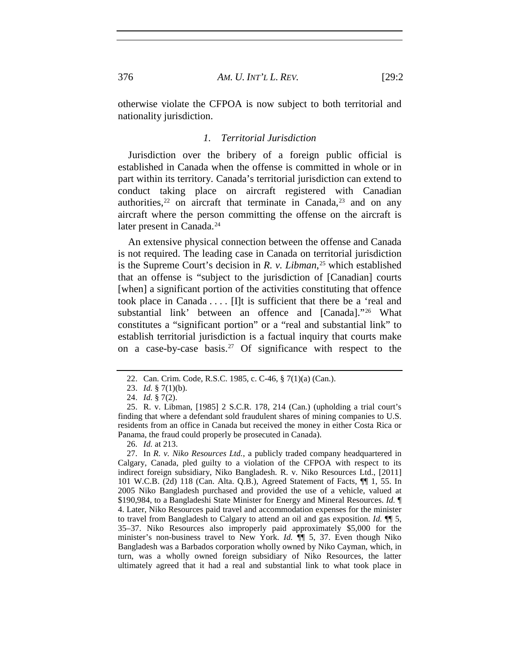otherwise violate the CFPOA is now subject to both territorial and nationality jurisdiction.

#### *1. Territorial Jurisdiction*

Jurisdiction over the bribery of a foreign public official is established in Canada when the offense is committed in whole or in part within its territory. Canada's territorial jurisdiction can extend to conduct taking place on aircraft registered with Canadian authorities,  $22$  on aircraft that terminate in Canada,  $23$  and on any aircraft where the person committing the offense on the aircraft is later present in Canada.<sup>[24](#page-7-2)</sup>

An extensive physical connection between the offense and Canada is not required. The leading case in Canada on territorial jurisdiction is the Supreme Court's decision in *R. v. Libman*, [25](#page-7-3) which established that an offense is "subject to the jurisdiction of [Canadian] courts [when] a significant portion of the activities constituting that offence took place in Canada . . . . [I]t is sufficient that there be a 'real and substantial link' between an offence and [Canada]."[26](#page-7-4) What constitutes a "significant portion" or a "real and substantial link" to establish territorial jurisdiction is a factual inquiry that courts make on a case-by-case basis.<sup>[27](#page-7-5)</sup> Of significance with respect to the

26. *Id.* at 213.

<span id="page-7-5"></span><span id="page-7-4"></span>27. In *R. v. Niko Resources Ltd.*, a publicly traded company headquartered in Calgary, Canada, pled guilty to a violation of the CFPOA with respect to its indirect foreign subsidiary, Niko Bangladesh. R. v. Niko Resources Ltd., [2011] 101 W.C.B. (2d) 118 (Can. Alta. Q.B.), Agreed Statement of Facts, ¶¶ 1, 55. In 2005 Niko Bangladesh purchased and provided the use of a vehicle, valued at \$190,984, to a Bangladeshi State Minister for Energy and Mineral Resources. *Id.* ¶ 4. Later, Niko Resources paid travel and accommodation expenses for the minister to travel from Bangladesh to Calgary to attend an oil and gas exposition. *Id.* ¶¶ 5, 35–37. Niko Resources also improperly paid approximately \$5,000 for the minister's non-business travel to New York. *Id.* ¶¶ 5, 37. Even though Niko Bangladesh was a Barbados corporation wholly owned by Niko Cayman, which, in turn, was a wholly owned foreign subsidiary of Niko Resources, the latter ultimately agreed that it had a real and substantial link to what took place in

<sup>22.</sup> Can. Crim. Code, R.S.C. 1985, c. C-46, § 7(1)(a) (Can.).

<sup>23.</sup> *Id.* § 7(1)(b).

<sup>24.</sup> *Id.* § 7(2).

<span id="page-7-3"></span><span id="page-7-2"></span><span id="page-7-1"></span><span id="page-7-0"></span><sup>25.</sup> R. v. Libman, [1985] 2 S.C.R. 178, 214 (Can.) (upholding a trial court's finding that where a defendant sold fraudulent shares of mining companies to U.S. residents from an office in Canada but received the money in either Costa Rica or Panama, the fraud could properly be prosecuted in Canada).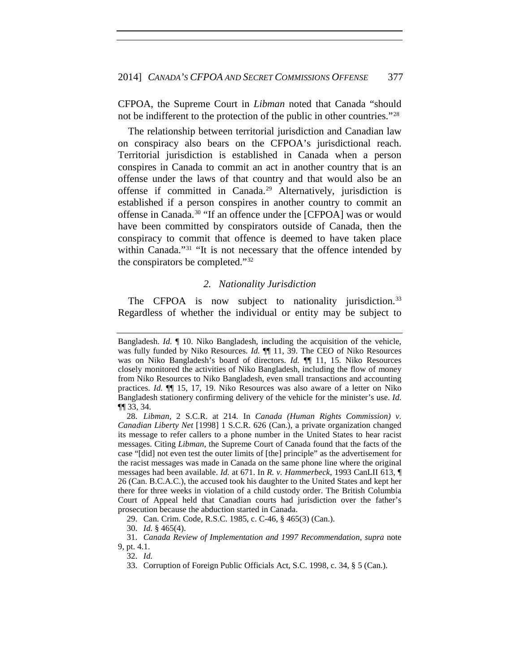CFPOA, the Supreme Court in *Libman* noted that Canada "should not be indifferent to the protection of the public in other countries."[28](#page-8-0)

The relationship between territorial jurisdiction and Canadian law on conspiracy also bears on the CFPOA's jurisdictional reach. Territorial jurisdiction is established in Canada when a person conspires in Canada to commit an act in another country that is an offense under the laws of that country and that would also be an offense if committed in Canada.<sup>[29](#page-8-1)</sup> Alternatively, jurisdiction is established if a person conspires in another country to commit an offense in Canada.[30](#page-8-2) "If an offence under the [CFPOA] was or would have been committed by conspirators outside of Canada, then the conspiracy to commit that offence is deemed to have taken place within Canada."<sup>[31](#page-8-3)</sup> "It is not necessary that the offence intended by the conspirators be completed."[32](#page-8-4)

#### *2. Nationality Jurisdiction*

The CFPOA is now subject to nationality jurisdiction.<sup>[33](#page-8-5)</sup> Regardless of whether the individual or entity may be subject to

Bangladesh. *Id.* ¶ 10. Niko Bangladesh, including the acquisition of the vehicle, was fully funded by Niko Resources. *Id.* ¶¶ 11, 39. The CEO of Niko Resources was on Niko Bangladesh's board of directors. *Id.* ¶¶ 11, 15. Niko Resources closely monitored the activities of Niko Bangladesh, including the flow of money from Niko Resources to Niko Bangladesh, even small transactions and accounting practices. *Id.* ¶¶ 15, 17, 19. Niko Resources was also aware of a letter on Niko Bangladesh stationery confirming delivery of the vehicle for the minister's use. *Id.* ¶¶ 33, 34.

<span id="page-8-0"></span><sup>28.</sup> *Libman,* 2 S.C.R. at 214*.* In *Canada (Human Rights Commission) v. Canadian Liberty Net* [1998] 1 S.C.R. 626 (Can.), a private organization changed its message to refer callers to a phone number in the United States to hear racist messages. Citing *Libman*, the Supreme Court of Canada found that the facts of the case "[did] not even test the outer limits of [the] principle" as the advertisement for the racist messages was made in Canada on the same phone line where the original messages had been available. *Id.* at 671. In *R. v. Hammerbeck*, 1993 CanLII 613, ¶ 26 (Can. B.C.A.C.), the accused took his daughter to the United States and kept her there for three weeks in violation of a child custody order. The British Columbia Court of Appeal held that Canadian courts had jurisdiction over the father's prosecution because the abduction started in Canada.

<sup>29.</sup> Can. Crim. Code, R.S.C. 1985, c. C-46, § 465(3) (Can.).

<sup>30.</sup> *Id.* § 465(4).

<span id="page-8-5"></span><span id="page-8-4"></span><span id="page-8-3"></span><span id="page-8-2"></span><span id="page-8-1"></span><sup>31.</sup> *Canada Review of Implementation and 1997 Recommendation*, *supra* note [9,](#page-4-0) pt. 4.1.

<sup>32.</sup> *Id.*

<sup>33.</sup> Corruption of Foreign Public Officials Act, S.C. 1998, c. 34, § 5 (Can.).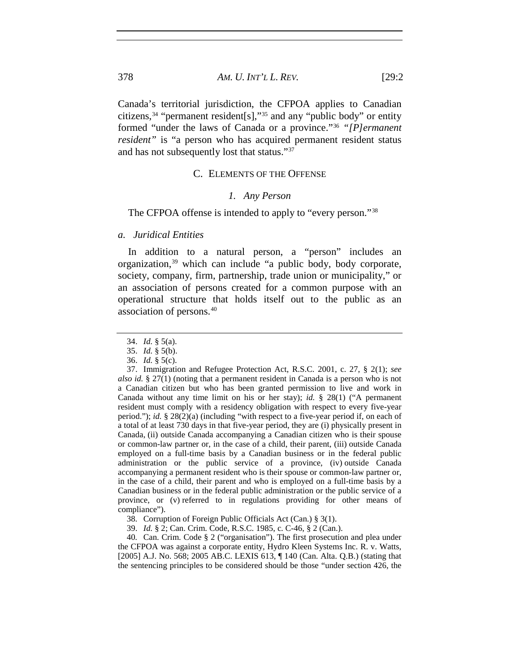Canada's territorial jurisdiction, the CFPOA applies to Canadian citizens,<sup>[34](#page-9-0)</sup> "permanent resident[s],"<sup>35</sup> and any "public body" or entity formed "under the laws of Canada or a province."[36](#page-9-2) *"[P]ermanent resident"* is "a person who has acquired permanent resident status and has not subsequently lost that status."[37](#page-9-3)

## C. ELEMENTS OF THE OFFENSE

## *1. Any Person*

The CFPOA offense is intended to apply to "every person."<sup>[38](#page-9-4)</sup>

*a. Juridical Entities*

In addition to a natural person, a "person" includes an organization,<sup>[39](#page-9-5)</sup> which can include "a public body, body corporate, society, company, firm, partnership, trade union or municipality," or an association of persons created for a common purpose with an operational structure that holds itself out to the public as an association of persons.[40](#page-9-6)

39. *Id.* § 2; Can. Crim. Code, R.S.C. 1985, c. C-46, § 2 (Can.).

<span id="page-9-6"></span><span id="page-9-5"></span><span id="page-9-4"></span>40*.* Can. Crim. Code § 2 ("organisation"). The first prosecution and plea under the CFPOA was against a corporate entity, Hydro Kleen Systems Inc. R. v. Watts*,*  [2005] A.J. No. 568; 2005 AB.C. LEXIS 613, ¶ 140 (Can. Alta. Q.B.) (stating that the sentencing principles to be considered should be those "under section 426, the

<sup>34.</sup> *Id.* § 5(a).

<sup>35.</sup> *Id.* § 5(b).

<sup>36.</sup> *Id.* § 5(c).

<span id="page-9-3"></span><span id="page-9-2"></span><span id="page-9-1"></span><span id="page-9-0"></span><sup>37.</sup> Immigration and Refugee Protection Act, R.S.C. 2001, c. 27, § 2(1); *see also id.* § 27(1) (noting that a permanent resident in Canada is a person who is not a Canadian citizen but who has been granted permission to live and work in Canada without any time limit on his or her stay); *id.* § 28(1) ("A permanent resident must comply with a residency obligation with respect to every five-year period."); *id.* § 28(2)(a) (including "with respect to a five-year period if, on each of a total of at least 730 days in that five-year period, they are (i) physically present in Canada, (ii) outside Canada accompanying a Canadian citizen who is their spouse or common-law partner or, in the case of a child, their parent, (iii) outside Canada employed on a full-time basis by a Canadian business or in the federal public administration or the public service of a province, (iv) outside Canada accompanying a permanent resident who is their spouse or common-law partner or, in the case of a child, their parent and who is employed on a full-time basis by a Canadian business or in the federal public administration or the public service of a province, or (v) referred to in regulations providing for other means of compliance").

<sup>38</sup>*.* Corruption of Foreign Public Officials Act (Can.) § 3(1).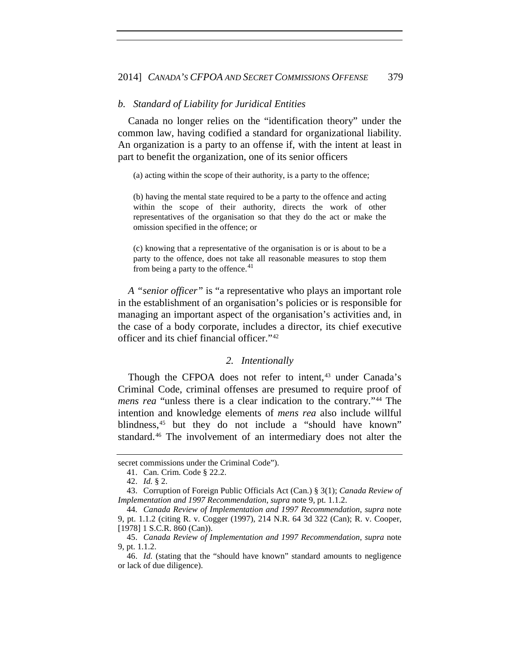#### *b. Standard of Liability for Juridical Entities*

Canada no longer relies on the "identification theory" under the common law, having codified a standard for organizational liability. An organization is a party to an offense if, with the intent at least in part to benefit the organization, one of its senior officers

(a) acting within the scope of their authority, is a party to the offence;

(b) having the mental state required to be a party to the offence and acting within the scope of their authority, directs the work of other representatives of the organisation so that they do the act or make the omission specified in the offence; or

(c) knowing that a representative of the organisation is or is about to be a party to the offence, does not take all reasonable measures to stop them from being a party to the offence. $41$ 

*A "senior officer"* is "a representative who plays an important role in the establishment of an organisation's policies or is responsible for managing an important aspect of the organisation's activities and, in the case of a body corporate, includes a director, its chief executive officer and its chief financial officer."[42](#page-10-1)

#### *2. Intentionally*

Though the CFPOA does not refer to intent,<sup>[43](#page-10-2)</sup> under Canada's Criminal Code, criminal offenses are presumed to require proof of *mens rea* "unless there is a clear indication to the contrary."[44](#page-10-3) The intention and knowledge elements of *mens rea* also include willful blindness,<sup>[45](#page-10-4)</sup> but they do not include a "should have known" standard.[46](#page-10-5) The involvement of an intermediary does not alter the

<span id="page-10-0"></span>secret commissions under the Criminal Code").

<sup>41.</sup> Can. Crim. Code § 22.2.

<sup>42.</sup> *Id.* § 2.

<span id="page-10-2"></span><span id="page-10-1"></span><sup>43.</sup> Corruption of Foreign Public Officials Act (Can.) § 3(1); *Canada Review of Implementation and 1997 Recommendation*, *supra* not[e 9,](#page-4-0) pt. 1.1.2.

<span id="page-10-3"></span><sup>44</sup>*. Canada Review of Implementation and 1997 Recommendation*, *supra* note [9,](#page-4-0) pt. 1.1.2 (citing R. v. Cogger (1997), 214 N.R. 64 3d 322 (Can); R. v. Cooper, [1978] 1 S.C.R. 860 (Can)).

<span id="page-10-4"></span><sup>45.</sup> *Canada Review of Implementation and 1997 Recommendation*, *supra* note [9,](#page-4-0) pt. 1.1.2.

<span id="page-10-5"></span><sup>46.</sup> *Id.* (stating that the "should have known" standard amounts to negligence or lack of due diligence).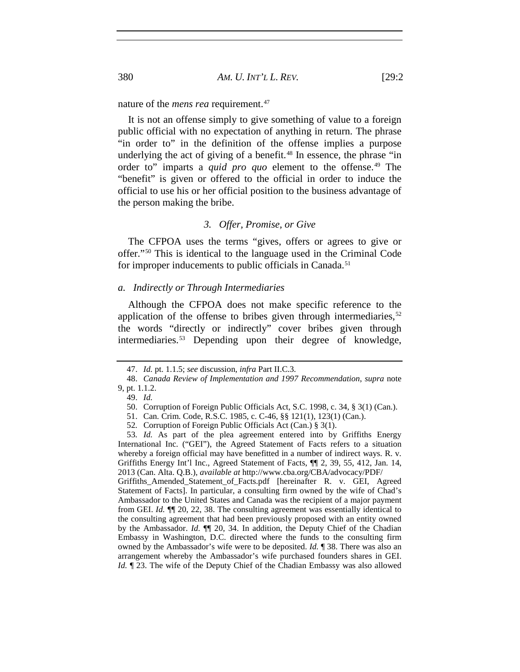nature of the *mens rea* requirement.<sup>[47](#page-11-0)</sup>

It is not an offense simply to give something of value to a foreign public official with no expectation of anything in return. The phrase "in order to" in the definition of the offense implies a purpose underlying the act of giving of a benefit.<sup>[48](#page-11-1)</sup> In essence, the phrase "in order to" imparts a *quid pro quo* element to the offense.[49](#page-11-2) The "benefit" is given or offered to the official in order to induce the official to use his or her official position to the business advantage of the person making the bribe.

## *3. Offer, Promise, or Give*

The CFPOA uses the terms "gives, offers or agrees to give or offer."[50](#page-11-3) This is identical to the language used in the Criminal Code for improper inducements to public officials in Canada.<sup>[51](#page-11-4)</sup>

#### *a. Indirectly or Through Intermediaries*

Although the CFPOA does not make specific reference to the application of the offense to bribes given through intermediaries,  $52$ the words "directly or indirectly" cover bribes given through intermediaries.[53](#page-11-6) Depending upon their degree of knowledge,

<span id="page-11-6"></span><span id="page-11-5"></span><span id="page-11-4"></span>53*. Id.* As part of the plea agreement entered into by Griffiths Energy International Inc. ("GEI"), the Agreed Statement of Facts refers to a situation whereby a foreign official may have benefitted in a number of indirect ways. R. v. Griffiths Energy Int'l Inc., Agreed Statement of Facts, ¶¶ 2, 39, 55, 412, Jan. 14, 2013 (Can. Alta. Q.B.), *available at* http://www.cba.org/CBA/advocacy/PDF/

Griffiths Amended Statement of Facts.pdf [hereinafter R. v. GEI, Agreed Statement of Facts]. In particular, a consulting firm owned by the wife of Chad's Ambassador to the United States and Canada was the recipient of a major payment from GEI. *Id.* ¶¶ 20, 22, 38. The consulting agreement was essentially identical to the consulting agreement that had been previously proposed with an entity owned by the Ambassador. *Id.* ¶¶ 20, 34. In addition, the Deputy Chief of the Chadian Embassy in Washington, D.C. directed where the funds to the consulting firm owned by the Ambassador's wife were to be deposited. *Id.* ¶ 38. There was also an arrangement whereby the Ambassador's wife purchased founders shares in GEI. *Id.*  $\llbracket 23$ . The wife of the Deputy Chief of the Chadian Embassy was also allowed

<span id="page-11-7"></span><sup>47.</sup> *Id.* pt. 1.1.5; *see* discussion*, infra* Part II.C.3.

<span id="page-11-3"></span><span id="page-11-2"></span><span id="page-11-1"></span><span id="page-11-0"></span><sup>48.</sup> *Canada Review of Implementation and 1997 Recommendation*, *supra* note [9,](#page-4-0) pt. 1.1.2.

<sup>49.</sup> *Id.*

<sup>50.</sup> Corruption of Foreign Public Officials Act, S.C. 1998, c. 34, § 3(1) (Can.).

<sup>51.</sup> Can. Crim. Code, R.S.C. 1985, c. C-46, §§ 121(1), 123(1) (Can.).

<sup>52</sup>*.* Corruption of Foreign Public Officials Act (Can.) § 3(1).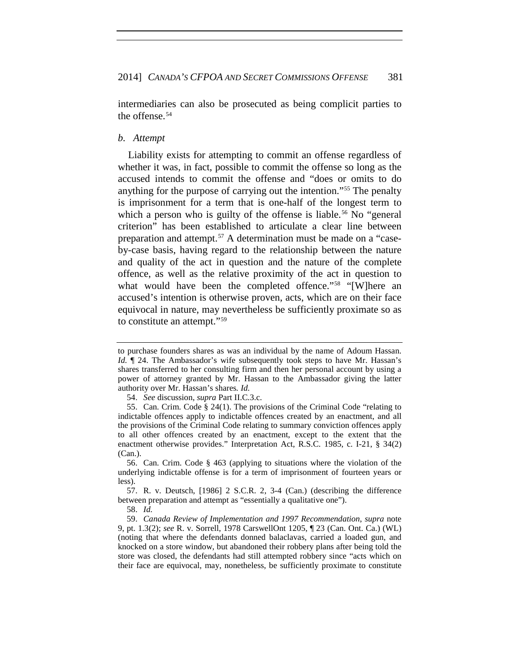intermediaries can also be prosecuted as being complicit parties to the offense.<sup>[54](#page-12-0)</sup>

#### *b. Attempt*

Liability exists for attempting to commit an offense regardless of whether it was, in fact, possible to commit the offense so long as the accused intends to commit the offense and "does or omits to do anything for the purpose of carrying out the intention."[55](#page-12-1) The penalty is imprisonment for a term that is one-half of the longest term to which a person who is guilty of the offense is liable.<sup>[56](#page-12-2)</sup> No "general" criterion" has been established to articulate a clear line between preparation and attempt.[57](#page-12-3) A determination must be made on a "caseby-case basis, having regard to the relationship between the nature and quality of the act in question and the nature of the complete offence, as well as the relative proximity of the act in question to what would have been the completed offence."<sup>[58](#page-12-4)</sup> "[W]here an accused's intention is otherwise proven, acts, which are on their face equivocal in nature, may nevertheless be sufficiently proximate so as to constitute an attempt."[59](#page-12-5)

<span id="page-12-2"></span>56. Can. Crim. Code § 463 (applying to situations where the violation of the underlying indictable offense is for a term of imprisonment of fourteen years or less).

<span id="page-12-3"></span>57. R. v. Deutsch, [1986] 2 S.C.R. 2, 3-4 (Can.) (describing the difference between preparation and attempt as "essentially a qualitative one").

58. *Id.*

to purchase founders shares as was an individual by the name of Adoum Hassan. *Id.* ¶ 24. The Ambassador's wife subsequently took steps to have Mr. Hassan's shares transferred to her consulting firm and then her personal account by using a power of attorney granted by Mr. Hassan to the Ambassador giving the latter authority over Mr. Hassan's shares*. Id.*

<sup>54.</sup> *See* discussion, *supra* Part II.C.3.c.

<span id="page-12-1"></span><span id="page-12-0"></span><sup>55.</sup> Can. Crim. Code § 24(1). The provisions of the Criminal Code "relating to indictable offences apply to indictable offences created by an enactment, and all the provisions of the Criminal Code relating to summary conviction offences apply to all other offences created by an enactment, except to the extent that the enactment otherwise provides." Interpretation Act, R.S.C. 1985, c. I-21, § 34(2) (Can.).

<span id="page-12-5"></span><span id="page-12-4"></span><sup>59.</sup> *Canada Review of Implementation and 1997 Recommendation*, *supra* note [9,](#page-4-0) pt. 1.3(2); *see* R. v. Sorrell, 1978 CarswellOnt 1205, ¶ 23 (Can. Ont. Ca.) (WL) (noting that where the defendants donned balaclavas, carried a loaded gun, and knocked on a store window, but abandoned their robbery plans after being told the store was closed, the defendants had still attempted robbery since "acts which on their face are equivocal, may, nonetheless, be sufficiently proximate to constitute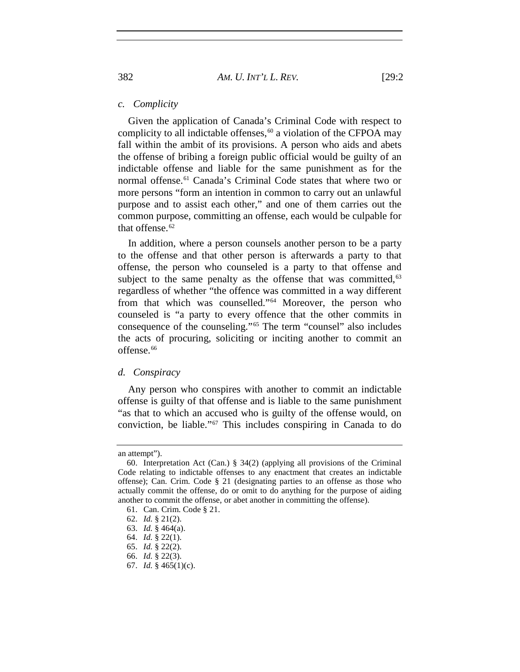382 *AM. U. INT'L L. REV.* [29:2

Given the application of Canada's Criminal Code with respect to complicity to all indictable offenses, $60$  a violation of the CFPOA may fall within the ambit of its provisions. A person who aids and abets the offense of bribing a foreign public official would be guilty of an indictable offense and liable for the same punishment as for the normal offense.<sup>[61](#page-13-1)</sup> Canada's Criminal Code states that where two or more persons "form an intention in common to carry out an unlawful purpose and to assist each other," and one of them carries out the common purpose, committing an offense, each would be culpable for that offense.<sup>[62](#page-13-2)</sup>

In addition, where a person counsels another person to be a party to the offense and that other person is afterwards a party to that offense, the person who counseled is a party to that offense and subject to the same penalty as the offense that was committed, $63$ regardless of whether "the offence was committed in a way different from that which was counselled."[64](#page-13-4) Moreover, the person who counseled is "a party to every offence that the other commits in consequence of the counseling."[65](#page-13-5) The term "counsel" also includes the acts of procuring, soliciting or inciting another to commit an offense.<sup>[66](#page-13-6)</sup>

## *d. Conspiracy*

Any person who conspires with another to commit an indictable offense is guilty of that offense and is liable to the same punishment "as that to which an accused who is guilty of the offense would, on conviction, be liable."[67](#page-13-7) This includes conspiring in Canada to do

<span id="page-13-0"></span>an attempt").

<span id="page-13-1"></span><sup>60.</sup> Interpretation Act (Can.) § 34(2) (applying all provisions of the Criminal Code relating to indictable offenses to any enactment that creates an indictable offense); Can. Crim. Code § 21 (designating parties to an offense as those who actually commit the offense, do or omit to do anything for the purpose of aiding another to commit the offense, or abet another in committing the offense).

<sup>61.</sup> Can. Crim. Code § 21.

<span id="page-13-2"></span><sup>62.</sup> *Id.* § 21(2).

<span id="page-13-3"></span><sup>63.</sup> *Id.* § 464(a).

<span id="page-13-4"></span><sup>64.</sup> *Id.* § 22(1).

<span id="page-13-5"></span><sup>65.</sup> *Id.* § 22(2).

<span id="page-13-6"></span><sup>66.</sup> *Id.* § 22(3).

<span id="page-13-7"></span><sup>67.</sup> *Id.* § 465(1)(c).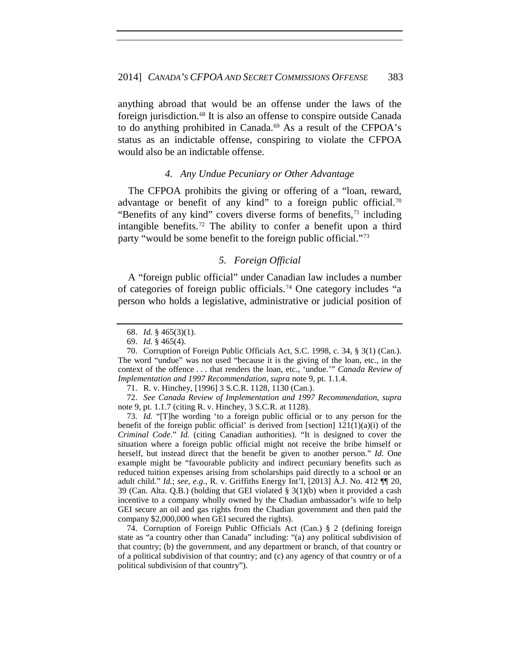anything abroad that would be an offense under the laws of the foreign jurisdiction.[68](#page-14-0) It is also an offense to conspire outside Canada to do anything prohibited in Canada.<sup>[69](#page-14-1)</sup> As a result of the CFPOA's status as an indictable offense, conspiring to violate the CFPOA would also be an indictable offense.

## *4. Any Undue Pecuniary or Other Advantage*

The CFPOA prohibits the giving or offering of a "loan, reward, advantage or benefit of any kind" to a foreign public official.<sup>[70](#page-14-2)</sup> "Benefits of any kind" covers diverse forms of benefits, $71$  including intangible benefits.<sup>[72](#page-14-4)</sup> The ability to confer a benefit upon a third party "would be some benefit to the foreign public official."[73](#page-14-5)

#### *5. Foreign Official*

A "foreign public official" under Canadian law includes a number of categories of foreign public officials.[74](#page-14-6) One category includes "a person who holds a legislative, administrative or judicial position of

<span id="page-14-4"></span><span id="page-14-3"></span>72. *See Canada Review of Implementation and 1997 Recommendation*, *supra* not[e 9,](#page-4-0) pt. 1.1.7 (citing R. v. Hinchey, 3 S.C.R. at 1128).

<span id="page-14-5"></span>73. *Id.* "[T]he wording 'to a foreign public official or to any person for the benefit of the foreign public official' is derived from [section]  $121(1)(a)(i)$  of the *Criminal Code*." *Id.* (citing Canadian authorities). "It is designed to cover the situation where a foreign public official might not receive the bribe himself or herself, but instead direct that the benefit be given to another person." *Id.* One example might be "favourable publicity and indirect pecuniary benefits such as reduced tuition expenses arising from scholarships paid directly to a school or an adult child." *Id.*; *see, e.g.*, R. v. Griffiths Energy Int'l, [2013] A.J. No. 412 ¶¶ 20, 39 (Can. Alta. Q.B.) (holding that GEI violated  $\S$  3(1)(b) when it provided a cash incentive to a company wholly owned by the Chadian ambassador's wife to help GEI secure an oil and gas rights from the Chadian government and then paid the company \$2,000,000 when GEI secured the rights).

<span id="page-14-6"></span>74. Corruption of Foreign Public Officials Act (Can.) § 2 (defining foreign state as "a country other than Canada" including: "(a) any political subdivision of that country; (b) the government, and any department or branch, of that country or of a political subdivision of that country; and (c) any agency of that country or of a political subdivision of that country").

<sup>68.</sup> *Id.* § 465(3)(1).

<sup>69.</sup> *Id.* § 465(4).

<span id="page-14-2"></span><span id="page-14-1"></span><span id="page-14-0"></span><sup>70.</sup> Corruption of Foreign Public Officials Act, S.C. 1998, c. 34, § 3(1) (Can.). The word "undue" was not used "because it is the giving of the loan, etc., in the context of the offence . . . that renders the loan, etc., 'undue.'" *Canada Review of Implementation and 1997 Recommendation*, *supra* not[e 9,](#page-4-0) pt. 1.1.4.

<sup>71.</sup> R. v. Hinchey, [1996] 3 S.C.R. 1128, 1130 (Can.).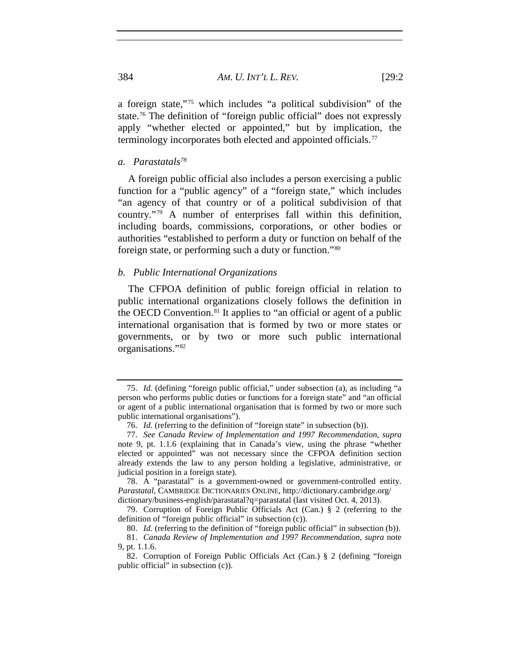a foreign state,"[75](#page-15-0) which includes "a political subdivision" of the state.[76](#page-15-1) The definition of "foreign public official" does not expressly apply "whether elected or appointed," but by implication, the terminology incorporates both elected and appointed officials.<sup>[77](#page-15-2)</sup>

## *a. Parastatals[78](#page-15-3)*

A foreign public official also includes a person exercising a public function for a "public agency" of a "foreign state," which includes "an agency of that country or of a political subdivision of that country."[79](#page-15-4) A number of enterprises fall within this definition, including boards, commissions, corporations, or other bodies or authorities "established to perform a duty or function on behalf of the foreign state, or performing such a duty or function."[80](#page-15-5)

#### *b. Public International Organizations*

The CFPOA definition of public foreign official in relation to public international organizations closely follows the definition in the OECD Convention.<sup>[81](#page-15-6)</sup> It applies to "an official or agent of a public international organisation that is formed by two or more states or governments, or by two or more such public international organisations."[82](#page-15-7)

<span id="page-15-0"></span><sup>75.</sup> *Id.* (defining "foreign public official," under subsection (a), as including "a person who performs public duties or functions for a foreign state" and "an official or agent of a public international organisation that is formed by two or more such public international organisations").

<sup>76.</sup> *Id.* (referring to the definition of "foreign state" in subsection (b)).

<span id="page-15-2"></span><span id="page-15-1"></span><sup>77.</sup> *See Canada Review of Implementation and 1997 Recommendation*, *supra* note [9,](#page-4-0) pt. 1.1.6 (explaining that in Canada's view, using the phrase "whether elected or appointed" was not necessary since the CFPOA definition section already extends the law to any person holding a legislative, administrative, or judicial position in a foreign state).

<span id="page-15-3"></span><sup>78.</sup> A "parastatal" is a government-owned or government-controlled entity. *Parastatal*, CAMBRIDGE DICTIONARIES ONLINE, http://dictionary.cambridge.org/ dictionary/business-english/parastatal?q=parastatal (last visited Oct. 4, 2013).

<span id="page-15-4"></span><sup>79.</sup> Corruption of Foreign Public Officials Act (Can.) § 2 (referring to the definition of "foreign public official" in subsection (c)).

<sup>80.</sup> *Id.* (referring to the definition of "foreign public official" in subsection (b)).

<span id="page-15-6"></span><span id="page-15-5"></span><sup>81.</sup> *Canada Review of Implementation and 1997 Recommendation*, *supra* note [9,](#page-4-0) pt. 1.1.6.

<span id="page-15-7"></span><sup>82.</sup> Corruption of Foreign Public Officials Act (Can.) § 2 (defining "foreign public official" in subsection (c)).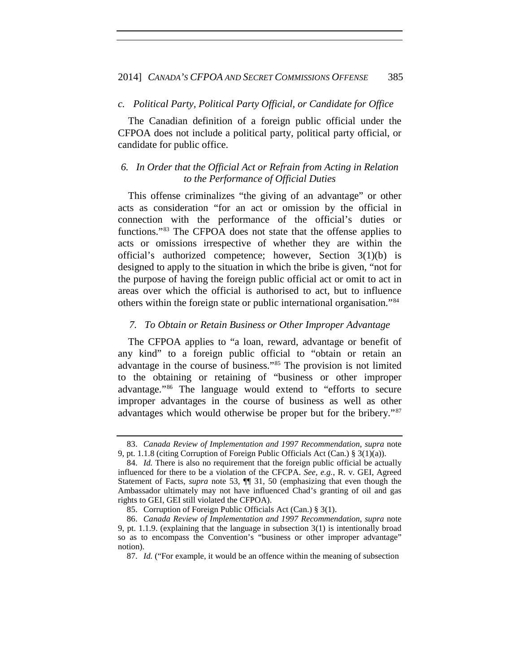#### *c. Political Party, Political Party Official, or Candidate for Office*

The Canadian definition of a foreign public official under the CFPOA does not include a political party, political party official, or candidate for public office.

## *6. In Order that the Official Act or Refrain from Acting in Relation to the Performance of Official Duties*

This offense criminalizes "the giving of an advantage" or other acts as consideration "for an act or omission by the official in connection with the performance of the official's duties or functions."[83](#page-16-0) The CFPOA does not state that the offense applies to acts or omissions irrespective of whether they are within the official's authorized competence; however, Section 3(1)(b) is designed to apply to the situation in which the bribe is given, "not for the purpose of having the foreign public official act or omit to act in areas over which the official is authorised to act, but to influence others within the foreign state or public international organisation."[84](#page-16-1)

#### *7. To Obtain or Retain Business or Other Improper Advantage*

The CFPOA applies to "a loan, reward, advantage or benefit of any kind" to a foreign public official to "obtain or retain an advantage in the course of business."[85](#page-16-2) The provision is not limited to the obtaining or retaining of "business or other improper advantage."[86](#page-16-3) The language would extend to "efforts to secure improper advantages in the course of business as well as other advantages which would otherwise be proper but for the bribery."[87](#page-16-4)

<span id="page-16-0"></span><sup>83.</sup> *Canada Review of Implementation and 1997 Recommendation*, *supra* note [9,](#page-4-0) pt. 1.1.8 (citing Corruption of Foreign Public Officials Act (Can.) § 3(1)(a)).

<span id="page-16-1"></span><sup>84.</sup> *Id.* There is also no requirement that the foreign public official be actually influenced for there to be a violation of the CFCPA. *See, e.g.*, R. v. GEI, Agreed Statement of Facts, *supra* note [53,](#page-11-7) ¶¶ 31, 50 (emphasizing that even though the Ambassador ultimately may not have influenced Chad's granting of oil and gas rights to GEI, GEI still violated the CFPOA).

<sup>85.</sup> Corruption of Foreign Public Officials Act (Can.) § 3(1).

<span id="page-16-4"></span><span id="page-16-3"></span><span id="page-16-2"></span><sup>86.</sup> *Canada Review of Implementation and 1997 Recommendation*, *supra* note [9,](#page-4-0) pt. 1.1.9. (explaining that the language in subsection 3(1) is intentionally broad so as to encompass the Convention's "business or other improper advantage" notion).

<sup>87.</sup> *Id.* ("For example, it would be an offence within the meaning of subsection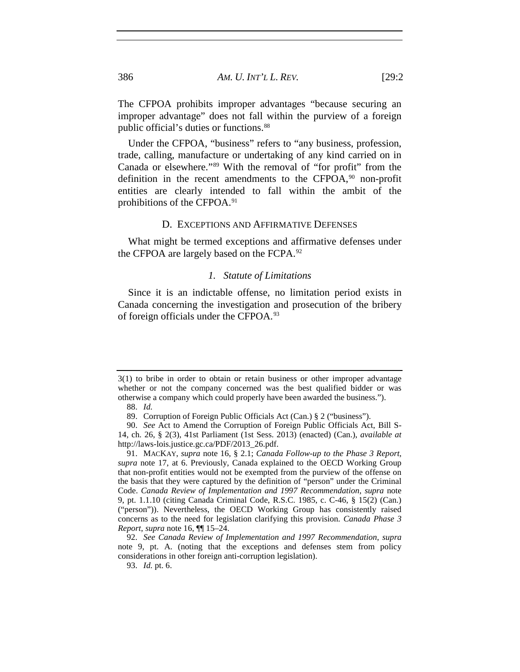The CFPOA prohibits improper advantages "because securing an improper advantage" does not fall within the purview of a foreign public official's duties or functions.[88](#page-17-0)

Under the CFPOA, "business" refers to "any business, profession, trade, calling, manufacture or undertaking of any kind carried on in Canada or elsewhere."[89](#page-17-1) With the removal of "for profit" from the definition in the recent amendments to the CFPOA, $90$  non-profit entities are clearly intended to fall within the ambit of the prohibitions of the CFPOA.<sup>[91](#page-17-3)</sup>

#### D. EXCEPTIONS AND AFFIRMATIVE DEFENSES

What might be termed exceptions and affirmative defenses under the CFPOA are largely based on the FCPA.[92](#page-17-4)

#### *1. Statute of Limitations*

Since it is an indictable offense, no limitation period exists in Canada concerning the investigation and prosecution of the bribery of foreign officials under the CFPOA.[93](#page-17-5)

<sup>3(1)</sup> to bribe in order to obtain or retain business or other improper advantage whether or not the company concerned was the best qualified bidder or was otherwise a company which could properly have been awarded the business.").

<sup>88.</sup> *Id.*

<sup>89.</sup> Corruption of Foreign Public Officials Act (Can.) § 2 ("business").

<span id="page-17-2"></span><span id="page-17-1"></span><span id="page-17-0"></span><sup>90.</sup> *See* Act to Amend the Corruption of Foreign Public Officials Act, Bill S-14, ch. 26, § 2(3), 41st Parliament (1st Sess. 2013) (enacted) (Can.), *available at* http://laws-lois.justice.gc.ca/PDF/2013\_26.pdf.

<span id="page-17-3"></span><sup>91.</sup> MACKAY, *supra* note [16,](#page-5-5) § 2.1; *Canada Follow-up to the Phase 3 Report*, *supra* note [17,](#page-5-6) at 6. Previously, Canada explained to the OECD Working Group that non-profit entities would not be exempted from the purview of the offense on the basis that they were captured by the definition of "person" under the Criminal Code. *Canada Review of Implementation and 1997 Recommendation*, *supra* note [9,](#page-4-0) pt. 1.1.10 (citing Canada Criminal Code, R.S.C. 1985, c. C-46, § 15(2) (Can.) ("person")). Nevertheless, the OECD Working Group has consistently raised concerns as to the need for legislation clarifying this provision. *Canada Phase 3 Report*, *supra* note [16,](#page-5-5) ¶¶ 15–24.

<span id="page-17-5"></span><span id="page-17-4"></span><sup>92.</sup> *See Canada Review of Implementation and 1997 Recommendation*, *supra* note [9,](#page-4-0) pt. A. (noting that the exceptions and defenses stem from policy considerations in other foreign anti-corruption legislation).

<sup>93.</sup> *Id.* pt. 6.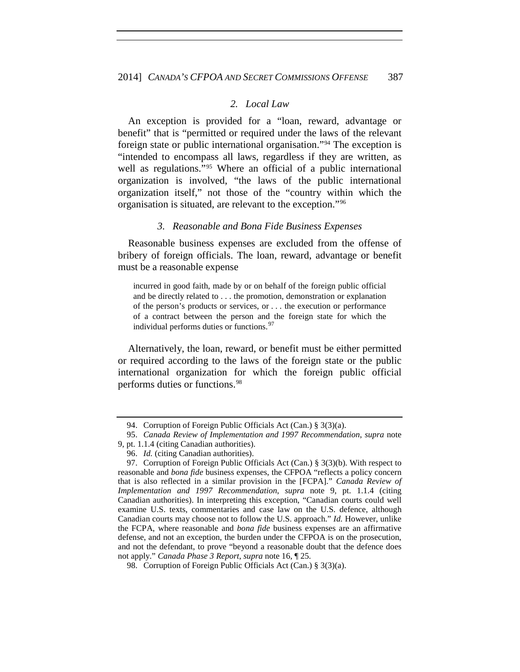## *2. Local Law*

An exception is provided for a "loan, reward, advantage or benefit" that is "permitted or required under the laws of the relevant foreign state or public international organisation."[94](#page-18-0) The exception is "intended to encompass all laws, regardless if they are written, as well as regulations."<sup>[95](#page-18-1)</sup> Where an official of a public international organization is involved, "the laws of the public international organization itself," not those of the "country within which the organisation is situated, are relevant to the exception."[96](#page-18-2)

#### *3. Reasonable and Bona Fide Business Expenses*

Reasonable business expenses are excluded from the offense of bribery of foreign officials. The loan, reward, advantage or benefit must be a reasonable expense

incurred in good faith, made by or on behalf of the foreign public official and be directly related to . . . the promotion, demonstration or explanation of the person's products or services, or . . . the execution or performance of a contract between the person and the foreign state for which the individual performs duties or functions.<sup>[97](#page-18-3)</sup>

Alternatively, the loan, reward, or benefit must be either permitted or required according to the laws of the foreign state or the public international organization for which the foreign public official performs duties or functions.[98](#page-18-4)

<sup>94.</sup> Corruption of Foreign Public Officials Act (Can.) § 3(3)(a).

<span id="page-18-1"></span><span id="page-18-0"></span><sup>95.</sup> *Canada Review of Implementation and 1997 Recommendation*, *supra* note [9,](#page-4-0) pt. 1.1.4 (citing Canadian authorities).

<sup>96.</sup> *Id.* (citing Canadian authorities).

<span id="page-18-3"></span><span id="page-18-2"></span><sup>97.</sup> Corruption of Foreign Public Officials Act (Can.) § 3(3)(b). With respect to reasonable and *bona fide* business expenses, the CFPOA "reflects a policy concern that is also reflected in a similar provision in the [FCPA]." *Canada Review of Implementation and 1997 Recommendation*, *supra* note [9,](#page-4-0) pt. 1.1.4 (citing Canadian authorities). In interpreting this exception, "Canadian courts could well examine U.S. texts, commentaries and case law on the U.S. defence, although Canadian courts may choose not to follow the U.S. approach." *Id.* However, unlike the FCPA, where reasonable and *bona fide* business expenses are an affirmative defense, and not an exception, the burden under the CFPOA is on the prosecution, and not the defendant, to prove "beyond a reasonable doubt that the defence does not apply." *Canada Phase 3 Report*, *supra* note [16,](#page-5-5) ¶ 25.

<span id="page-18-4"></span><sup>98.</sup> Corruption of Foreign Public Officials Act (Can.) § 3(3)(a).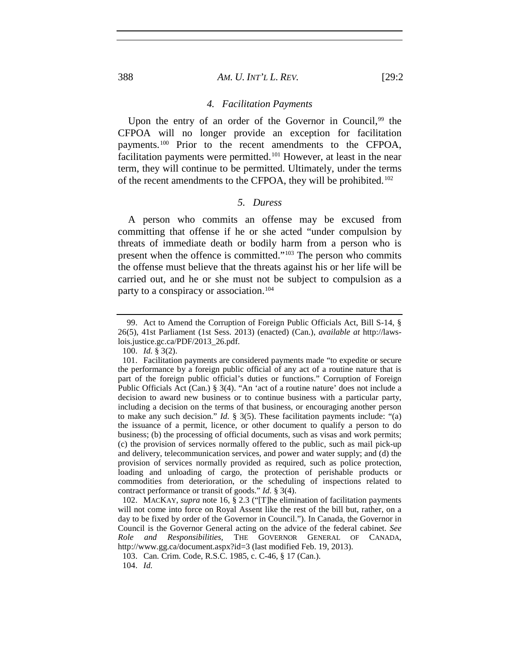#### 388 *AM. U. INT'L L. REV.* [29:2

#### *4. Facilitation Payments*

Upon the entry of an order of the Governor in Council,<sup>[99](#page-19-0)</sup> the CFPOA will no longer provide an exception for facilitation payments.[100](#page-19-1) Prior to the recent amendments to the CFPOA, facilitation payments were permitted.[101](#page-19-2) However, at least in the near term, they will continue to be permitted. Ultimately, under the terms of the recent amendments to the CFPOA, they will be prohibited.<sup>[102](#page-19-3)</sup>

#### *5. Duress*

A person who commits an offense may be excused from committing that offense if he or she acted "under compulsion by threats of immediate death or bodily harm from a person who is present when the offence is committed."[103](#page-19-4) The person who commits the offense must believe that the threats against his or her life will be carried out, and he or she must not be subject to compulsion as a party to a conspiracy or association.[104](#page-19-5)

<span id="page-19-0"></span><sup>99.</sup> Act to Amend the Corruption of Foreign Public Officials Act, Bill S-14, § 26(5), 41st Parliament (1st Sess. 2013) (enacted) (Can.), *available at* http://lawslois.justice.gc.ca/PDF/2013\_26.pdf.

<sup>100.</sup> *Id.* § 3(2).

<span id="page-19-2"></span><span id="page-19-1"></span><sup>101.</sup> Facilitation payments are considered payments made "to expedite or secure the performance by a foreign public official of any act of a routine nature that is part of the foreign public official's duties or functions." Corruption of Foreign Public Officials Act (Can.) § 3(4). "An 'act of a routine nature' does not include a decision to award new business or to continue business with a particular party, including a decision on the terms of that business, or encouraging another person to make any such decision." *Id.*  $\S 3(5)$ . These facilitation payments include: "(a) the issuance of a permit, licence, or other document to qualify a person to do business; (b) the processing of official documents, such as visas and work permits; (c) the provision of services normally offered to the public, such as mail pick-up and delivery, telecommunication services, and power and water supply; and (d) the provision of services normally provided as required, such as police protection, loading and unloading of cargo, the protection of perishable products or commodities from deterioration, or the scheduling of inspections related to contract performance or transit of goods." *Id.* § 3(4).

<span id="page-19-3"></span><sup>102.</sup> MACKAY, *supra* note [16,](#page-5-5) § 2.3 ("[T]he elimination of facilitation payments will not come into force on Royal Assent like the rest of the bill but, rather, on a day to be fixed by order of the Governor in Council."). In Canada, the Governor in Council is the Governor General acting on the advice of the federal cabinet. *See Role and Responsibilities*, THE GOVERNOR GENERAL OF CANADA, http://www.gg.ca/document.aspx?id=3 (last modified Feb. 19, 2013).

<span id="page-19-4"></span><sup>103.</sup> Can. Crim. Code, R.S.C. 1985, c. C-46, § 17 (Can.).

<span id="page-19-5"></span><sup>104.</sup> *Id.*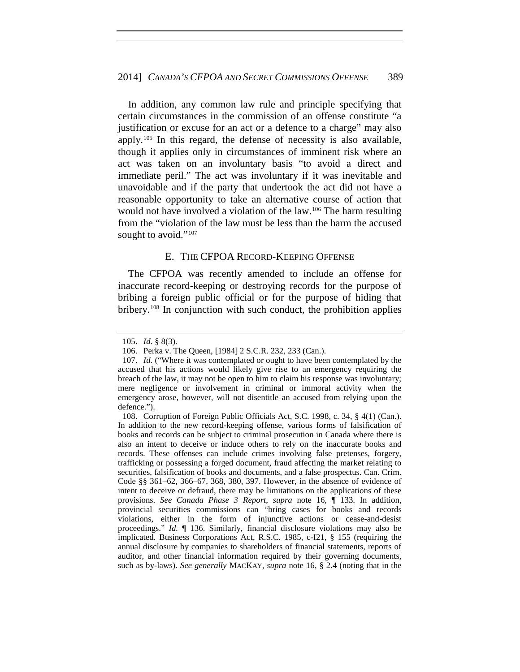In addition, any common law rule and principle specifying that certain circumstances in the commission of an offense constitute "a justification or excuse for an act or a defence to a charge" may also apply.[105](#page-20-0) In this regard, the defense of necessity is also available, though it applies only in circumstances of imminent risk where an act was taken on an involuntary basis "to avoid a direct and immediate peril." The act was involuntary if it was inevitable and unavoidable and if the party that undertook the act did not have a reasonable opportunity to take an alternative course of action that would not have involved a violation of the law.[106](#page-20-1) The harm resulting from the "violation of the law must be less than the harm the accused sought to avoid."<sup>[107](#page-20-2)</sup>

#### E. THE CFPOA RECORD-KEEPING OFFENSE

The CFPOA was recently amended to include an offense for inaccurate record-keeping or destroying records for the purpose of bribing a foreign public official or for the purpose of hiding that bribery.<sup>[108](#page-20-3)</sup> In conjunction with such conduct, the prohibition applies

<sup>105.</sup> *Id.* § 8(3).

<sup>106.</sup> Perka v. The Queen, [1984] 2 S.C.R. 232, 233 (Can.).

<span id="page-20-2"></span><span id="page-20-1"></span><span id="page-20-0"></span><sup>107.</sup> *Id.* ("Where it was contemplated or ought to have been contemplated by the accused that his actions would likely give rise to an emergency requiring the breach of the law, it may not be open to him to claim his response was involuntary; mere negligence or involvement in criminal or immoral activity when the emergency arose, however, will not disentitle an accused from relying upon the defence.").

<span id="page-20-3"></span><sup>108.</sup> Corruption of Foreign Public Officials Act, S.C. 1998, c. 34, § 4(1) (Can.). In addition to the new record-keeping offense, various forms of falsification of books and records can be subject to criminal prosecution in Canada where there is also an intent to deceive or induce others to rely on the inaccurate books and records. These offenses can include crimes involving false pretenses, forgery, trafficking or possessing a forged document, fraud affecting the market relating to securities, falsification of books and documents, and a false prospectus. Can. Crim. Code §§ 361–62, 366–67, 368, 380, 397. However, in the absence of evidence of intent to deceive or defraud, there may be limitations on the applications of these provisions. *See Canada Phase 3 Report*, *supra* note [16,](#page-5-5) ¶ 133. In addition, provincial securities commissions can "bring cases for books and records violations, either in the form of injunctive actions or cease-and-desist proceedings." *Id.* ¶ 136. Similarly, financial disclosure violations may also be implicated. Business Corporations Act, R.S.C. 1985, c-I21, § 155 (requiring the annual disclosure by companies to shareholders of financial statements, reports of auditor, and other financial information required by their governing documents, such as by-laws). *See generally* MACKAY, *supra* note [16,](#page-5-5) § 2.4 (noting that in the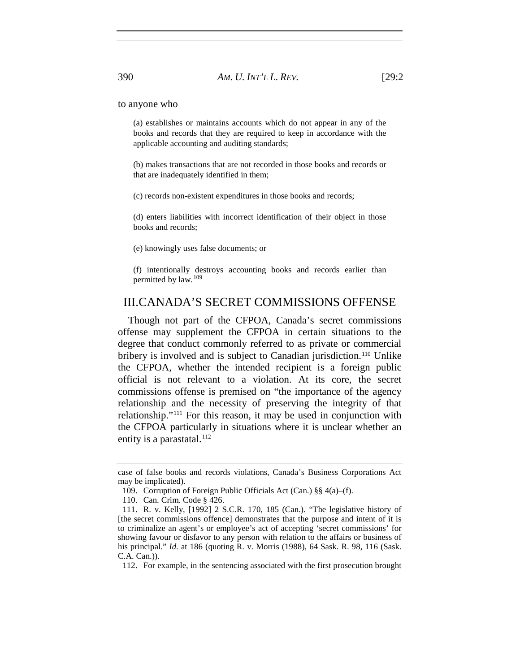to anyone who

(a) establishes or maintains accounts which do not appear in any of the books and records that they are required to keep in accordance with the applicable accounting and auditing standards;

(b) makes transactions that are not recorded in those books and records or that are inadequately identified in them;

(c) records non-existent expenditures in those books and records;

(d) enters liabilities with incorrect identification of their object in those books and records;

(e) knowingly uses false documents; or

(f) intentionally destroys accounting books and records earlier than permitted by law.<sup>[109](#page-21-0)</sup>

## III.CANADA'S SECRET COMMISSIONS OFFENSE

Though not part of the CFPOA, Canada's secret commissions offense may supplement the CFPOA in certain situations to the degree that conduct commonly referred to as private or commercial bribery is involved and is subject to Canadian jurisdiction.<sup>[110](#page-21-1)</sup> Unlike the CFPOA, whether the intended recipient is a foreign public official is not relevant to a violation. At its core, the secret commissions offense is premised on "the importance of the agency relationship and the necessity of preserving the integrity of that relationship."[111](#page-21-2) For this reason, it may be used in conjunction with the CFPOA particularly in situations where it is unclear whether an entity is a parastatal. $^{112}$  $^{112}$  $^{112}$ 

<span id="page-21-0"></span>case of false books and records violations, Canada's Business Corporations Act may be implicated).

<sup>109.</sup> Corruption of Foreign Public Officials Act (Can.) §§ 4(a)–(f).

<sup>110.</sup> Can. Crim. Code § 426.

<span id="page-21-2"></span><span id="page-21-1"></span><sup>111.</sup> R. v. Kelly, [1992] 2 S.C.R. 170, 185 (Can.). "The legislative history of [the secret commissions offence] demonstrates that the purpose and intent of it is to criminalize an agent's or employee's act of accepting 'secret commissions' for showing favour or disfavor to any person with relation to the affairs or business of his principal." *Id.* at 186 (quoting R. v. Morris (1988), 64 Sask. R. 98, 116 (Sask. C.A. Can.)).

<span id="page-21-3"></span><sup>112.</sup> For example, in the sentencing associated with the first prosecution brought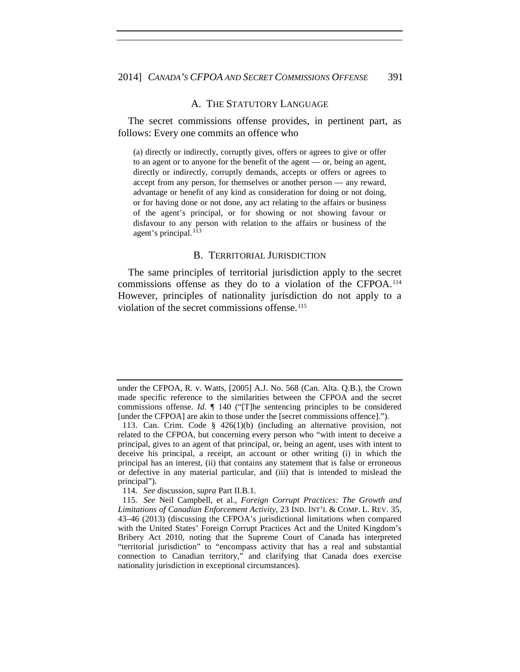#### A. THE STATUTORY LANGUAGE

The secret commissions offense provides, in pertinent part, as follows: Every one commits an offence who

(a) directly or indirectly, corruptly gives, offers or agrees to give or offer to an agent or to anyone for the benefit of the agent — or, being an agent, directly or indirectly, corruptly demands, accepts or offers or agrees to accept from any person, for themselves or another person — any reward, advantage or benefit of any kind as consideration for doing or not doing, or for having done or not done, any act relating to the affairs or business of the agent's principal, or for showing or not showing favour or disfavour to any person with relation to the affairs or business of the agent's principal.<sup>[113](#page-22-0)</sup>

#### B. TERRITORIAL JURISDICTION

The same principles of territorial jurisdiction apply to the secret commissions offense as they do to a violation of the CFPOA.[114](#page-22-1) However, principles of nationality jurisdiction do not apply to a violation of the secret commissions offense.<sup>[115](#page-22-2)</sup>

114. *See* discussion, *supra* Part II.B.1*.*

under the CFPOA, R. v. Watts*,* [2005] A.J. No. 568 (Can. Alta. Q.B.), the Crown made specific reference to the similarities between the CFPOA and the secret commissions offense. *Id.* ¶ 140 ("[T]he sentencing principles to be considered [under the CFPOA] are akin to those under the [secret commissions offence].").

<span id="page-22-0"></span><sup>113.</sup> Can. Crim. Code § 426(1)(b) (including an alternative provision, not related to the CFPOA, but concerning every person who "with intent to deceive a principal, gives to an agent of that principal, or, being an agent, uses with intent to deceive his principal, a receipt, an account or other writing (i) in which the principal has an interest, (ii) that contains any statement that is false or erroneous or defective in any material particular, and (iii) that is intended to mislead the principal").

<span id="page-22-2"></span><span id="page-22-1"></span><sup>115.</sup> *See* Neil Campbell, et al., *Foreign Corrupt Practices: The Growth and Limitations of Canadian Enforcement Activity*, 23 IND. INT'L & COMP. L. REV. 35, 43–46 (2013) (discussing the CFPOA's jurisdictional limitations when compared with the United States' Foreign Corrupt Practices Act and the United Kingdom's Bribery Act 2010, noting that the Supreme Court of Canada has interpreted "territorial jurisdiction" to "encompass activity that has a real and substantial connection to Canadian territory," and clarifying that Canada does exercise nationality jurisdiction in exceptional circumstances).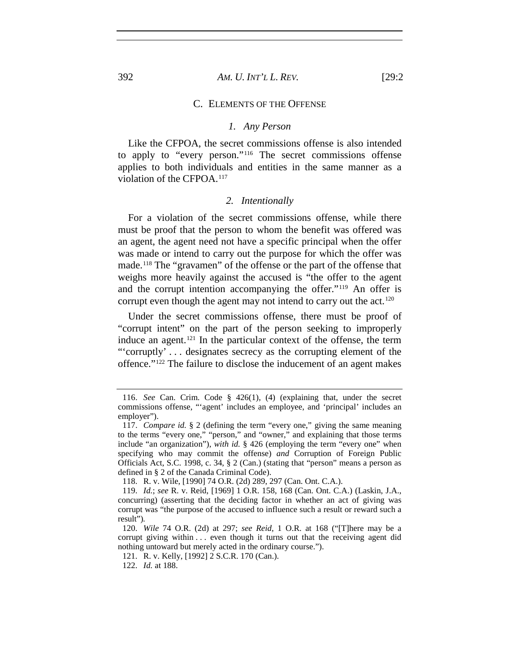#### C. ELEMENTS OF THE OFFENSE

#### *1. Any Person*

Like the CFPOA, the secret commissions offense is also intended to apply to "every person."[116](#page-23-0) The secret commissions offense applies to both individuals and entities in the same manner as a violation of the CFPOA.[117](#page-23-1)

#### *2. Intentionally*

For a violation of the secret commissions offense, while there must be proof that the person to whom the benefit was offered was an agent, the agent need not have a specific principal when the offer was made or intend to carry out the purpose for which the offer was made.[118](#page-23-2) The "gravamen" of the offense or the part of the offense that weighs more heavily against the accused is "the offer to the agent and the corrupt intention accompanying the offer."[119](#page-23-3) An offer is corrupt even though the agent may not intend to carry out the act.<sup>[120](#page-23-4)</sup>

Under the secret commissions offense, there must be proof of "corrupt intent" on the part of the person seeking to improperly induce an agent.[121](#page-23-5) In the particular context of the offense, the term "'corruptly' . . . designates secrecy as the corrupting element of the offence."[122](#page-23-6) The failure to disclose the inducement of an agent makes

<span id="page-23-0"></span><sup>116.</sup> *See* Can. Crim. Code § 426(1), (4) (explaining that, under the secret commissions offense, "'agent' includes an employee, and 'principal' includes an employer").

<span id="page-23-1"></span><sup>117.</sup> *Compare id.* § 2 (defining the term "every one," giving the same meaning to the terms "every one," "person," and "owner," and explaining that those terms include "an organization"), *with id.* § 426 (employing the term "every one" when specifying who may commit the offense) *and* Corruption of Foreign Public Officials Act, S.C. 1998, c. 34, § 2 (Can.) (stating that "person" means a person as defined in § 2 of the Canada Criminal Code).

<sup>118.</sup> R. v. Wile, [1990] 74 O.R. (2d) 289, 297 (Can. Ont. C.A.).

<span id="page-23-3"></span><span id="page-23-2"></span><sup>119.</sup> *Id.*; *see* R. v. Reid, [1969] 1 O.R. 158, 168 (Can. Ont. C.A.) (Laskin, J.A., concurring) (asserting that the deciding factor in whether an act of giving was corrupt was "the purpose of the accused to influence such a result or reward such a result")*.*

<span id="page-23-5"></span><span id="page-23-4"></span><sup>120.</sup> *Wile* 74 O.R. (2d) at 297; *see Reid*, 1 O.R. at 168 ("[T]here may be a corrupt giving within . . . even though it turns out that the receiving agent did nothing untoward but merely acted in the ordinary course.").

<sup>121.</sup> R. v. Kelly, [1992] 2 S.C.R. 170 (Can.).

<span id="page-23-6"></span><sup>122.</sup> *Id.* at 188.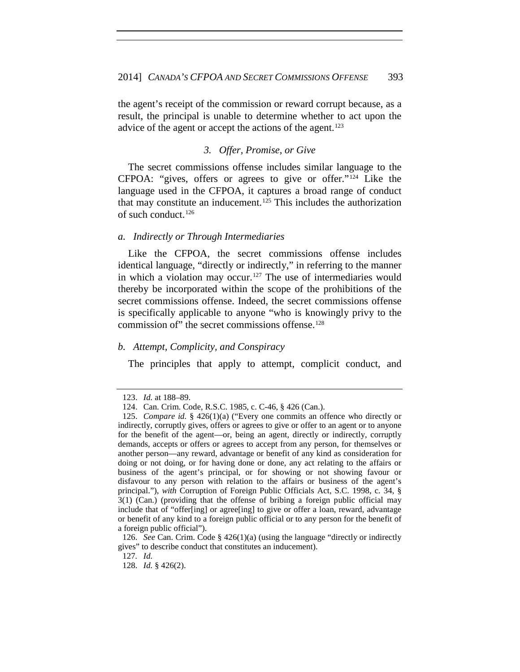the agent's receipt of the commission or reward corrupt because, as a result, the principal is unable to determine whether to act upon the advice of the agent or accept the actions of the agent.<sup>[123](#page-24-0)</sup>

## *3. Offer, Promise, or Give*

The secret commissions offense includes similar language to the CFPOA: "gives, offers or agrees to give or offer."[124](#page-24-1) Like the language used in the CFPOA, it captures a broad range of conduct that may constitute an inducement.[125](#page-24-2) This includes the authorization of such conduct.<sup>[126](#page-24-3)</sup>

#### *a. Indirectly or Through Intermediaries*

Like the CFPOA, the secret commissions offense includes identical language, "directly or indirectly," in referring to the manner in which a violation may occur.<sup>[127](#page-24-4)</sup> The use of intermediaries would thereby be incorporated within the scope of the prohibitions of the secret commissions offense. Indeed, the secret commissions offense is specifically applicable to anyone "who is knowingly privy to the commission of" the secret commissions offense.<sup>[128](#page-24-5)</sup>

### *b. Attempt, Complicity, and Conspiracy*

The principles that apply to attempt, complicit conduct, and

<sup>123.</sup> *Id.* at 188–89.

<sup>124.</sup> Can. Crim. Code, R.S.C. 1985, c. C-46, § 426 (Can.).

<span id="page-24-2"></span><span id="page-24-1"></span><span id="page-24-0"></span><sup>125.</sup> *Compare id.* § 426(1)(a) ("Every one commits an offence who directly or indirectly, corruptly gives, offers or agrees to give or offer to an agent or to anyone for the benefit of the agent—or, being an agent, directly or indirectly, corruptly demands, accepts or offers or agrees to accept from any person, for themselves or another person—any reward, advantage or benefit of any kind as consideration for doing or not doing, or for having done or done, any act relating to the affairs or business of the agent's principal, or for showing or not showing favour or disfavour to any person with relation to the affairs or business of the agent's principal."), *with* Corruption of Foreign Public Officials Act, S.C. 1998, c. 34, § 3(1) (Can.) (providing that the offense of bribing a foreign public official may include that of "offer[ing] or agree[ing] to give or offer a loan, reward, advantage or benefit of any kind to a foreign public official or to any person for the benefit of a foreign public official").

<span id="page-24-5"></span><span id="page-24-4"></span><span id="page-24-3"></span><sup>126.</sup> *See* Can. Crim. Code § 426(1)(a) (using the language "directly or indirectly gives" to describe conduct that constitutes an inducement).

<sup>127</sup>*. Id.*

<sup>128.</sup> *Id.* § 426(2).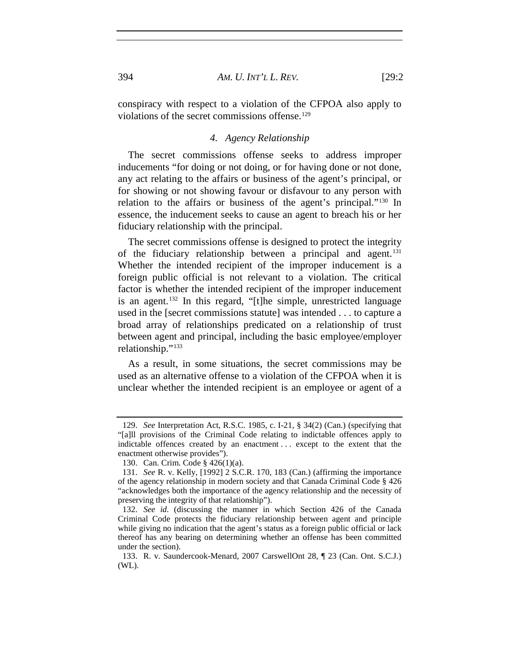conspiracy with respect to a violation of the CFPOA also apply to violations of the secret commissions offense.<sup>[129](#page-25-0)</sup>

#### *4. Agency Relationship*

The secret commissions offense seeks to address improper inducements "for doing or not doing, or for having done or not done, any act relating to the affairs or business of the agent's principal, or for showing or not showing favour or disfavour to any person with relation to the affairs or business of the agent's principal."[130](#page-25-1) In essence, the inducement seeks to cause an agent to breach his or her fiduciary relationship with the principal.

The secret commissions offense is designed to protect the integrity of the fiduciary relationship between a principal and agent.<sup>[131](#page-25-2)</sup> Whether the intended recipient of the improper inducement is a foreign public official is not relevant to a violation. The critical factor is whether the intended recipient of the improper inducement is an agent.[132](#page-25-3) In this regard, "[t]he simple, unrestricted language used in the [secret commissions statute] was intended . . . to capture a broad array of relationships predicated on a relationship of trust between agent and principal, including the basic employee/employer relationship."<sup>[133](#page-25-4)</sup>

As a result, in some situations, the secret commissions may be used as an alternative offense to a violation of the CFPOA when it is unclear whether the intended recipient is an employee or agent of a

<span id="page-25-0"></span><sup>129.</sup> *See* Interpretation Act, R.S.C. 1985, c. I-21, § 34(2) (Can.) (specifying that "[a]ll provisions of the Criminal Code relating to indictable offences apply to indictable offences created by an enactment . . . except to the extent that the enactment otherwise provides").

<sup>130.</sup> Can. Crim. Code § 426(1)(a).

<span id="page-25-2"></span><span id="page-25-1"></span><sup>131.</sup> *See* R. v. Kelly, [1992] 2 S.C.R. 170, 183 (Can.) (affirming the importance of the agency relationship in modern society and that Canada Criminal Code § 426 "acknowledges both the importance of the agency relationship and the necessity of preserving the integrity of that relationship").

<span id="page-25-3"></span><sup>132.</sup> *See id.* (discussing the manner in which Section 426 of the Canada Criminal Code protects the fiduciary relationship between agent and principle while giving no indication that the agent's status as a foreign public official or lack thereof has any bearing on determining whether an offense has been committed under the section).

<span id="page-25-4"></span><sup>133.</sup> R. v. Saundercook-Menard, 2007 CarswellOnt 28, ¶ 23 (Can. Ont. S.C.J.) (WL).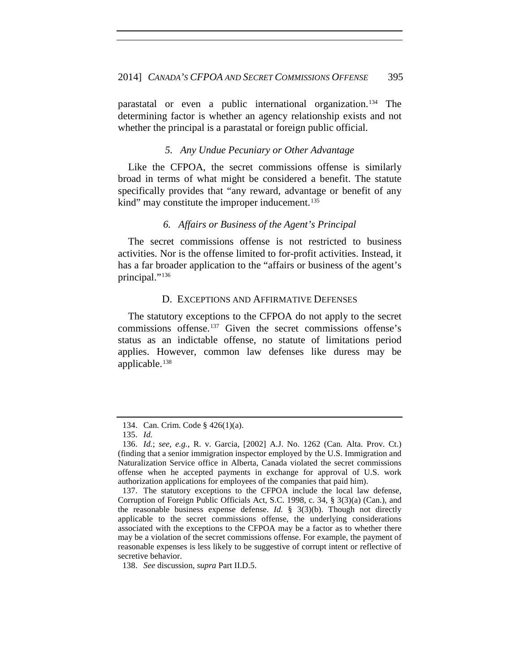parastatal or even a public international organization.<sup>[134](#page-26-0)</sup> The determining factor is whether an agency relationship exists and not whether the principal is a parastatal or foreign public official.

## *5. Any Undue Pecuniary or Other Advantage*

Like the CFPOA, the secret commissions offense is similarly broad in terms of what might be considered a benefit. The statute specifically provides that "any reward, advantage or benefit of any kind" may constitute the improper inducement.<sup>[135](#page-26-1)</sup>

## *6. Affairs or Business of the Agent's Principal*

The secret commissions offense is not restricted to business activities. Nor is the offense limited to for-profit activities. Instead, it has a far broader application to the "affairs or business of the agent's principal."<sup>[136](#page-26-2)</sup>

#### D. EXCEPTIONS AND AFFIRMATIVE DEFENSES

The statutory exceptions to the CFPOA do not apply to the secret commissions offense.[137](#page-26-3) Given the secret commissions offense's status as an indictable offense, no statute of limitations period applies. However, common law defenses like duress may be applicable.<sup>[138](#page-26-4)</sup>

<sup>134.</sup> Can. Crim. Code § 426(1)(a).

<sup>135.</sup> *Id.*

<span id="page-26-2"></span><span id="page-26-1"></span><span id="page-26-0"></span><sup>136.</sup> *Id.*; *see, e.g.*, R. v. Garcia*,* [2002] A.J. No. 1262 (Can. Alta. Prov. Ct.) (finding that a senior immigration inspector employed by the U.S. Immigration and Naturalization Service office in Alberta, Canada violated the secret commissions offense when he accepted payments in exchange for approval of U.S. work authorization applications for employees of the companies that paid him).

<span id="page-26-3"></span><sup>137.</sup> The statutory exceptions to the CFPOA include the local law defense, Corruption of Foreign Public Officials Act, S.C. 1998, c. 34, § 3(3)(a) (Can.), and the reasonable business expense defense. *Id.*  $\S$  3(3)(b). Though not directly applicable to the secret commissions offense, the underlying considerations associated with the exceptions to the CFPOA may be a factor as to whether there may be a violation of the secret commissions offense. For example, the payment of reasonable expenses is less likely to be suggestive of corrupt intent or reflective of secretive behavior.

<span id="page-26-4"></span><sup>138.</sup> *See* discussion, *supra* Part II.D.5.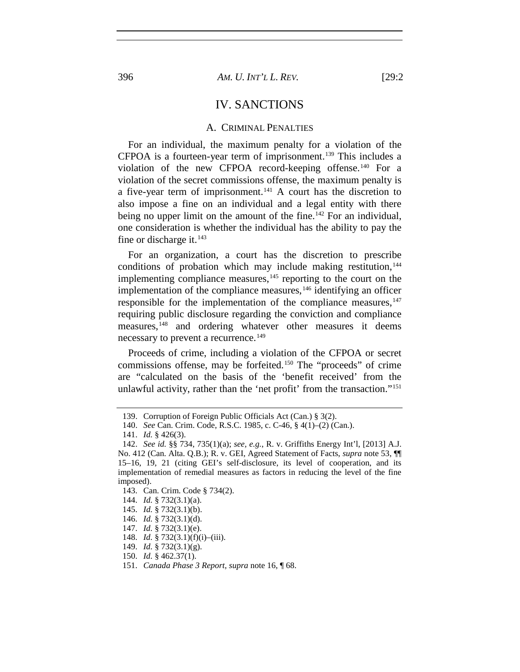## IV. SANCTIONS

#### A. CRIMINAL PENALTIES

For an individual, the maximum penalty for a violation of the CFPOA is a fourteen-year term of imprisonment.[139](#page-27-0) This includes a violation of the new CFPOA record-keeping offense.[140](#page-27-1) For a violation of the secret commissions offense, the maximum penalty is a five-year term of imprisonment.<sup>[141](#page-27-2)</sup> A court has the discretion to also impose a fine on an individual and a legal entity with there being no upper limit on the amount of the fine.<sup>[142](#page-27-3)</sup> For an individual, one consideration is whether the individual has the ability to pay the fine or discharge it. $143$ 

For an organization, a court has the discretion to prescribe conditions of probation which may include making restitution, $144$ implementing compliance measures, $145$  reporting to the court on the implementation of the compliance measures,  $146$  identifying an officer responsible for the implementation of the compliance measures, $147$ requiring public disclosure regarding the conviction and compliance measures,<sup>[148](#page-27-9)</sup> and ordering whatever other measures it deems necessary to prevent a recurrence.<sup>[149](#page-27-10)</sup>

Proceeds of crime, including a violation of the CFPOA or secret commissions offense, may be forfeited.[150](#page-27-11) The "proceeds" of crime are "calculated on the basis of the 'benefit received' from the unlawful activity, rather than the 'net profit' from the transaction."[151](#page-27-12)

<span id="page-27-4"></span>143. Can. Crim. Code § 734(2).

- <span id="page-27-6"></span>145. *Id.* § 732(3.1)(b).
- <span id="page-27-8"></span><span id="page-27-7"></span>146. *Id.* § 732(3.1)(d).
- 147. *Id.* § 732(3.1)(e).
- <span id="page-27-9"></span>148. *Id.* § 732(3.1)(f)(i)–(iii).
- <span id="page-27-10"></span>149. *Id.* § 732(3.1)(g).
- <span id="page-27-11"></span>150. *Id.* § 462.37(1).
- <span id="page-27-12"></span>151. *Canada Phase 3 Report*, *supra* note [16,](#page-5-5) ¶ 68.

<sup>139.</sup> Corruption of Foreign Public Officials Act (Can.) § 3(2).

<sup>140.</sup> *See* Can. Crim. Code, R.S.C. 1985, c. C-46, § 4(1)–(2) (Can.).

<sup>141.</sup> *Id.* § 426(3).

<span id="page-27-3"></span><span id="page-27-2"></span><span id="page-27-1"></span><span id="page-27-0"></span><sup>142.</sup> *See id.* §§ 734, 735(1)(a); *see, e.g.*, R. v. Griffiths Energy Int'l, [2013] A.J. No. 412 (Can. Alta. Q.B.); R. v. GEI, Agreed Statement of Facts, *supra* note [53,](#page-11-7) ¶¶ 15–16, 19, 21 (citing GEI's self-disclosure, its level of cooperation, and its implementation of remedial measures as factors in reducing the level of the fine imposed).

<span id="page-27-5"></span><sup>144.</sup> *Id.* § 732(3.1)(a).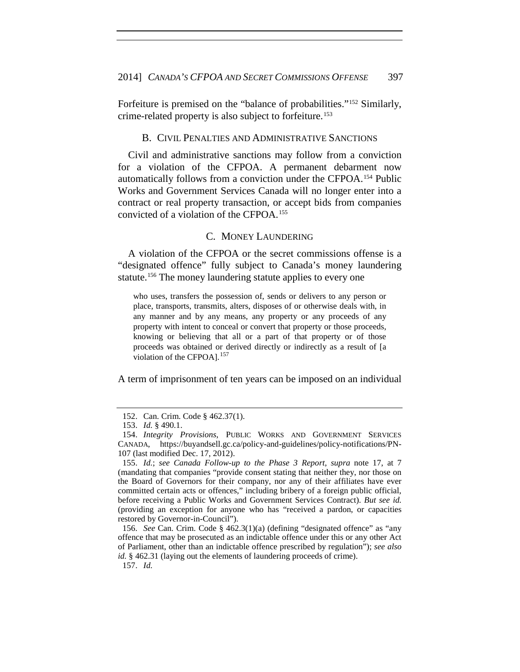Forfeiture is premised on the "balance of probabilities."[152](#page-28-0) Similarly, crime-related property is also subject to forfeiture.<sup>[153](#page-28-1)</sup>

## B. CIVIL PENALTIES AND ADMINISTRATIVE SANCTIONS

Civil and administrative sanctions may follow from a conviction for a violation of the CFPOA. A permanent debarment now automatically follows from a conviction under the CFPOA.[154](#page-28-2) Public Works and Government Services Canada will no longer enter into a contract or real property transaction, or accept bids from companies convicted of a violation of the CFPOA.[155](#page-28-3)

## C. MONEY LAUNDERING

A violation of the CFPOA or the secret commissions offense is a "designated offence" fully subject to Canada's money laundering statute.<sup>[156](#page-28-4)</sup> The money laundering statute applies to every one

who uses, transfers the possession of, sends or delivers to any person or place, transports, transmits, alters, disposes of or otherwise deals with, in any manner and by any means, any property or any proceeds of any property with intent to conceal or convert that property or those proceeds, knowing or believing that all or a part of that property or of those proceeds was obtained or derived directly or indirectly as a result of [a violation of the CFPOA].<sup>[157](#page-28-5)</sup>

A term of imprisonment of ten years can be imposed on an individual

<span id="page-28-5"></span>157. *Id.*

<sup>152.</sup> Can. Crim. Code § 462.37(1).

<sup>153.</sup> *Id.* § 490.1.

<span id="page-28-2"></span><span id="page-28-1"></span><span id="page-28-0"></span><sup>154.</sup> *Integrity Provisions*, PUBLIC WORKS AND GOVERNMENT SERVICES CANADA, https://buyandsell.gc.ca/policy-and-guidelines/policy-notifications/PN-107 (last modified Dec. 17, 2012).

<span id="page-28-3"></span><sup>155.</sup> *Id.*; *see Canada Follow-up to the Phase 3 Report*, *supra* note [17,](#page-5-6) at 7 (mandating that companies "provide consent stating that neither they, nor those on the Board of Governors for their company, nor any of their affiliates have ever committed certain acts or offences," including bribery of a foreign public official, before receiving a Public Works and Government Services Contract). *But see id.* (providing an exception for anyone who has "received a pardon, or capacities restored by Governor-in-Council").

<span id="page-28-4"></span><sup>156.</sup> *See* Can. Crim. Code § 462.3(1)(a) (defining "designated offence" as "any offence that may be prosecuted as an indictable offence under this or any other Act of Parliament, other than an indictable offence prescribed by regulation"); *see also id.* § 462.31 (laying out the elements of laundering proceeds of crime).